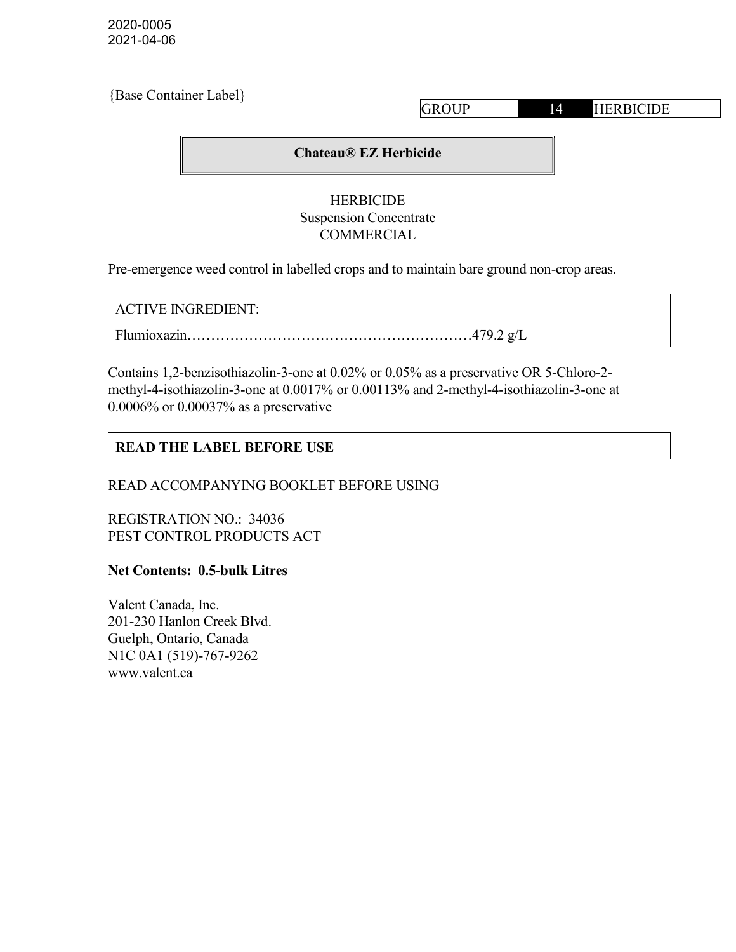2020-0005 2021-04-06

| {Base Container Label} |              |    |                  |
|------------------------|--------------|----|------------------|
|                        | <b>GROUP</b> | 14 | <b>HERBICIDE</b> |
|                        |              |    |                  |

#### Chateau® EZ Herbicide

#### HERBICIDE Suspension Concentrate COMMERCIAL

Pre-emergence weed control in labelled crops and to maintain bare ground non-crop areas.

ACTIVE INGREDIENT:

Flumioxazin……………………………………………………479.2 g/L

Contains 1,2-benzisothiazolin-3-one at 0.02% or 0.05% as a preservative OR 5-Chloro-2 methyl-4-isothiazolin-3-one at 0.0017% or 0.00113% and 2-methyl-4-isothiazolin-3-one at 0.0006% or 0.00037% as a preservative

### READ THE LABEL BEFORE USE

READ ACCOMPANYING BOOKLET BEFORE USING

REGISTRATION NO.: 34036 PEST CONTROL PRODUCTS ACT

Net Contents: 0.5-bulk Litres

Valent Canada, Inc. 201-230 Hanlon Creek Blvd. Guelph, Ontario, Canada N1C 0A1 (519)-767-9262 www.valent.ca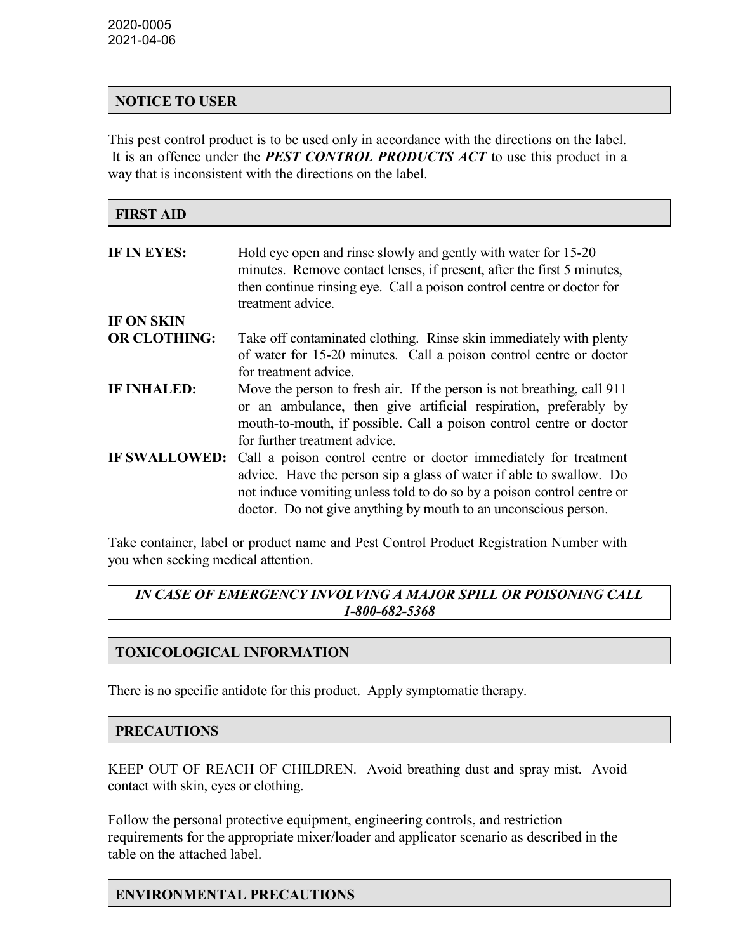### NOTICE TO USER

This pest control product is to be used only in accordance with the directions on the label. It is an offence under the **PEST CONTROL PRODUCTS ACT** to use this product in a way that is inconsistent with the directions on the label.

| <b>FIRST AID</b>     |                                                                                                                                                                                                                                                                                      |
|----------------------|--------------------------------------------------------------------------------------------------------------------------------------------------------------------------------------------------------------------------------------------------------------------------------------|
| IF IN EYES:          | Hold eye open and rinse slowly and gently with water for 15-20<br>minutes. Remove contact lenses, if present, after the first 5 minutes,<br>then continue rinsing eye. Call a poison control centre or doctor for<br>treatment advice.                                               |
| IF ON SKIN           |                                                                                                                                                                                                                                                                                      |
| <b>OR CLOTHING:</b>  | Take off contaminated clothing. Rinse skin immediately with plenty<br>of water for 15-20 minutes. Call a poison control centre or doctor<br>for treatment advice.                                                                                                                    |
| <b>IF INHALED:</b>   | Move the person to fresh air. If the person is not breathing, call 911<br>or an ambulance, then give artificial respiration, preferably by<br>mouth-to-mouth, if possible. Call a poison control centre or doctor<br>for further treatment advice.                                   |
| <b>IF SWALLOWED:</b> | Call a poison control centre or doctor immediately for treatment<br>advice. Have the person sip a glass of water if able to swallow. Do<br>not induce vomiting unless told to do so by a poison control centre or<br>doctor. Do not give anything by mouth to an unconscious person. |

Take container, label or product name and Pest Control Product Registration Number with you when seeking medical attention.

# IN CASE OF EMERGENCY INVOLVING A MAJOR SPILL OR POISONING CALL 1-800-682-5368

# TOXICOLOGICAL INFORMATION

There is no specific antidote for this product. Apply symptomatic therapy.

#### PRECAUTIONS

KEEP OUT OF REACH OF CHILDREN. Avoid breathing dust and spray mist. Avoid contact with skin, eyes or clothing.

Follow the personal protective equipment, engineering controls, and restriction requirements for the appropriate mixer/loader and applicator scenario as described in the table on the attached label.

# ENVIRONMENTAL PRECAUTIONS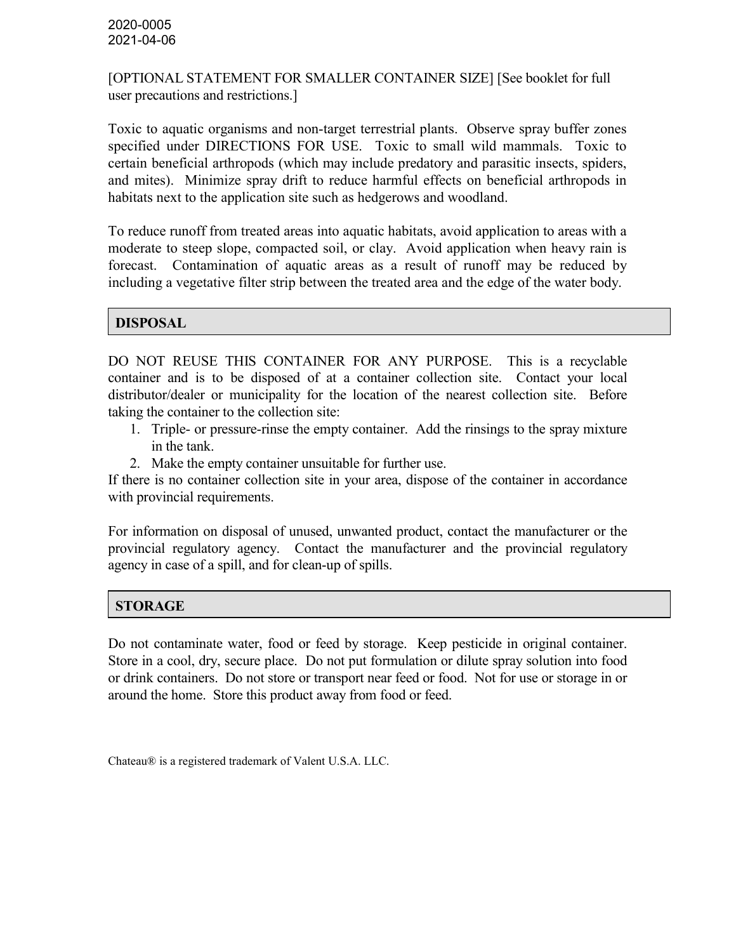[OPTIONAL STATEMENT FOR SMALLER CONTAINER SIZE] [See booklet for full user precautions and restrictions.]

Toxic to aquatic organisms and non-target terrestrial plants. Observe spray buffer zones specified under DIRECTIONS FOR USE. Toxic to small wild mammals. Toxic to certain beneficial arthropods (which may include predatory and parasitic insects, spiders, and mites). Minimize spray drift to reduce harmful effects on beneficial arthropods in habitats next to the application site such as hedgerows and woodland.

To reduce runoff from treated areas into aquatic habitats, avoid application to areas with a moderate to steep slope, compacted soil, or clay. Avoid application when heavy rain is forecast. Contamination of aquatic areas as a result of runoff may be reduced by including a vegetative filter strip between the treated area and the edge of the water body.

### DISPOSAL

DO NOT REUSE THIS CONTAINER FOR ANY PURPOSE. This is a recyclable container and is to be disposed of at a container collection site. Contact your local distributor/dealer or municipality for the location of the nearest collection site. Before taking the container to the collection site:

- 1. Triple- or pressure-rinse the empty container. Add the rinsings to the spray mixture in the tank.
- 2. Make the empty container unsuitable for further use.

If there is no container collection site in your area, dispose of the container in accordance with provincial requirements.

For information on disposal of unused, unwanted product, contact the manufacturer or the provincial regulatory agency. Contact the manufacturer and the provincial regulatory agency in case of a spill, and for clean-up of spills.

#### **STORAGE**

Do not contaminate water, food or feed by storage. Keep pesticide in original container. Store in a cool, dry, secure place. Do not put formulation or dilute spray solution into food or drink containers. Do not store or transport near feed or food. Not for use or storage in or around the home. Store this product away from food or feed.

Chateau® is a registered trademark of Valent U.S.A. LLC.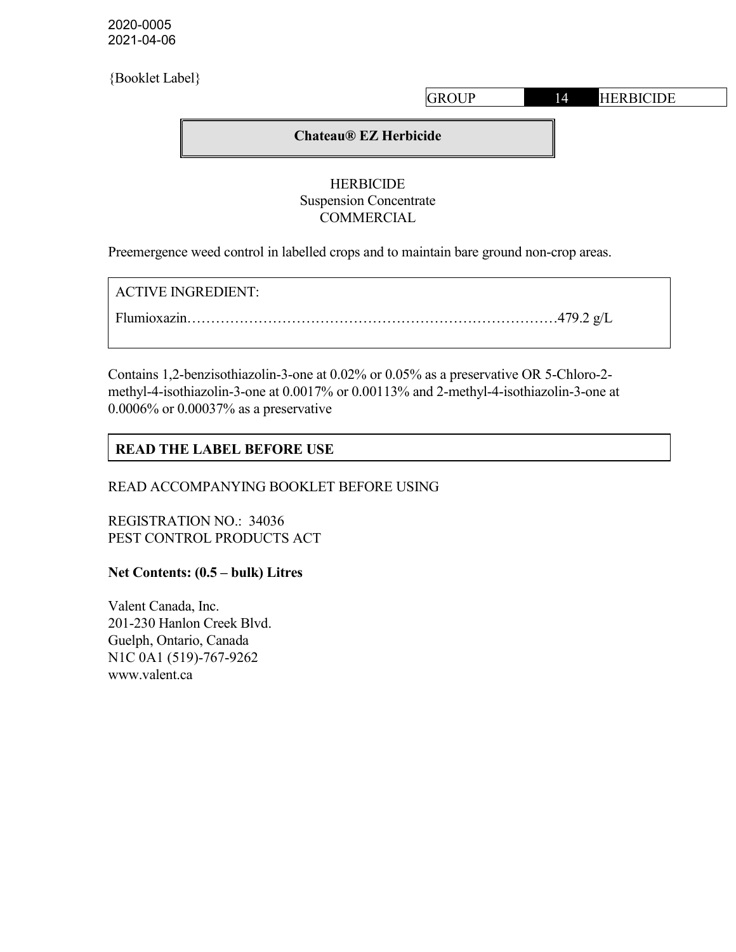2020-0005 2021-04-06

#### **HERBICIDE** Suspension Concentrate COMMERCIAL

Preemergence weed control in labelled crops and to maintain bare ground non-crop areas.

ACTIVE INGREDIENT:

Flumioxazin……………………………………………………………………479.2 g/L

Contains 1,2-benzisothiazolin-3-one at 0.02% or 0.05% as a preservative OR 5-Chloro-2 methyl-4-isothiazolin-3-one at 0.0017% or 0.00113% and 2-methyl-4-isothiazolin-3-one at 0.0006% or 0.00037% as a preservative

# READ THE LABEL BEFORE USE

READ ACCOMPANYING BOOKLET BEFORE USING

REGISTRATION NO.: 34036 PEST CONTROL PRODUCTS ACT

Net Contents: (0.5 – bulk) Litres

Valent Canada, Inc. 201-230 Hanlon Creek Blvd. Guelph, Ontario, Canada N1C 0A1 (519)-767-9262 www.valent.ca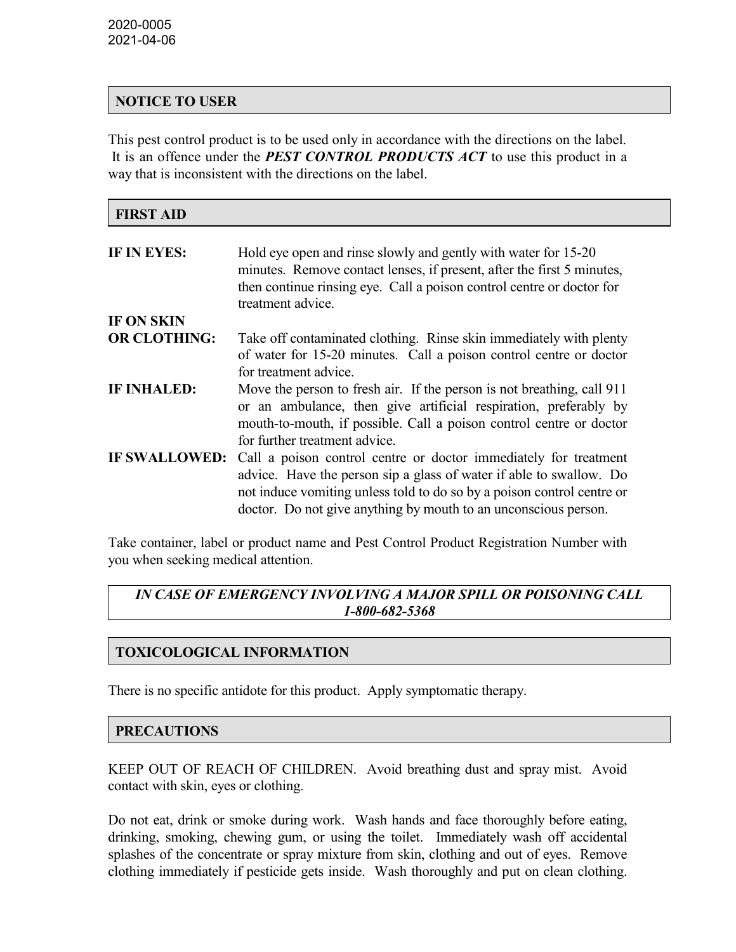### NOTICE TO USER

This pest control product is to be used only in accordance with the directions on the label. It is an offence under the **PEST CONTROL PRODUCTS ACT** to use this product in a way that is inconsistent with the directions on the label.

| <b>FIRST AID</b>     |                                                                                                                                                                                                                                                                                      |
|----------------------|--------------------------------------------------------------------------------------------------------------------------------------------------------------------------------------------------------------------------------------------------------------------------------------|
| IF IN EYES:          | Hold eye open and rinse slowly and gently with water for 15-20<br>minutes. Remove contact lenses, if present, after the first 5 minutes,<br>then continue rinsing eye. Call a poison control centre or doctor for<br>treatment advice.                                               |
| IF ON SKIN           |                                                                                                                                                                                                                                                                                      |
| <b>OR CLOTHING:</b>  | Take off contaminated clothing. Rinse skin immediately with plenty<br>of water for 15-20 minutes. Call a poison control centre or doctor<br>for treatment advice.                                                                                                                    |
| <b>IF INHALED:</b>   | Move the person to fresh air. If the person is not breathing, call 911<br>or an ambulance, then give artificial respiration, preferably by<br>mouth-to-mouth, if possible. Call a poison control centre or doctor<br>for further treatment advice.                                   |
| <b>IF SWALLOWED:</b> | Call a poison control centre or doctor immediately for treatment<br>advice. Have the person sip a glass of water if able to swallow. Do<br>not induce vomiting unless told to do so by a poison control centre or<br>doctor. Do not give anything by mouth to an unconscious person. |

Take container, label or product name and Pest Control Product Registration Number with you when seeking medical attention.

# IN CASE OF EMERGENCY INVOLVING A MAJOR SPILL OR POISONING CALL 1-800-682-5368

# TOXICOLOGICAL INFORMATION

There is no specific antidote for this product. Apply symptomatic therapy.

#### PRECAUTIONS

KEEP OUT OF REACH OF CHILDREN. Avoid breathing dust and spray mist. Avoid contact with skin, eyes or clothing.

Do not eat, drink or smoke during work. Wash hands and face thoroughly before eating, drinking, smoking, chewing gum, or using the toilet. Immediately wash off accidental splashes of the concentrate or spray mixture from skin, clothing and out of eyes. Remove clothing immediately if pesticide gets inside. Wash thoroughly and put on clean clothing.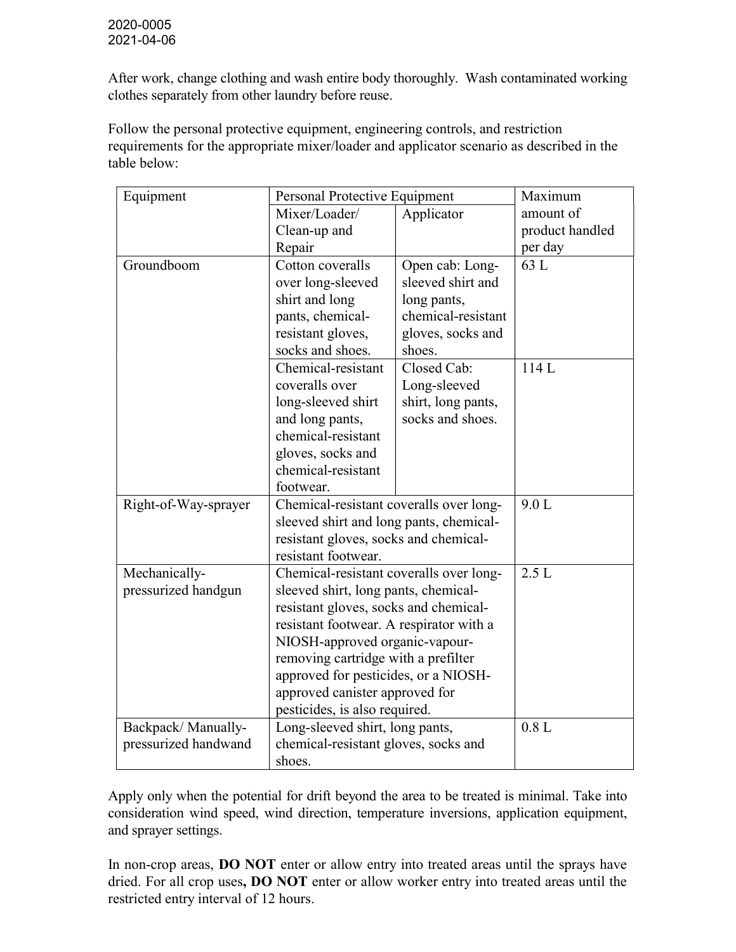After work, change clothing and wash entire body thoroughly. Wash contaminated working clothes separately from other laundry before reuse.

Follow the personal protective equipment, engineering controls, and restriction requirements for the appropriate mixer/loader and applicator scenario as described in the table below:

| Equipment            | Personal Protective Equipment           |                    | Maximum         |
|----------------------|-----------------------------------------|--------------------|-----------------|
|                      | Mixer/Loader/<br>Applicator             |                    | amount of       |
|                      | Clean-up and                            |                    | product handled |
|                      | Repair                                  |                    | per day         |
| Groundboom           | Cotton coveralls                        | Open cab: Long-    | 63 L            |
|                      | over long-sleeved                       | sleeved shirt and  |                 |
|                      | shirt and long<br>long pants,           |                    |                 |
|                      | pants, chemical-                        | chemical-resistant |                 |
|                      | resistant gloves,                       | gloves, socks and  |                 |
|                      | socks and shoes.                        | shoes.             |                 |
|                      | Chemical-resistant                      | Closed Cab:        | 114L            |
|                      | coveralls over                          | Long-sleeved       |                 |
|                      | long-sleeved shirt                      | shirt, long pants, |                 |
|                      | and long pants,                         | socks and shoes.   |                 |
|                      | chemical-resistant                      |                    |                 |
|                      | gloves, socks and                       |                    |                 |
|                      | chemical-resistant                      |                    |                 |
|                      | footwear.                               |                    |                 |
| Right-of-Way-sprayer | Chemical-resistant coveralls over long- | 9.0 L              |                 |
|                      | sleeved shirt and long pants, chemical- |                    |                 |
|                      | resistant gloves, socks and chemical-   |                    |                 |
|                      | resistant footwear.                     |                    |                 |
| Mechanically-        | Chemical-resistant coveralls over long- | 2.5L               |                 |
| pressurized handgun  | sleeved shirt, long pants, chemical-    |                    |                 |
|                      | resistant gloves, socks and chemical-   |                    |                 |
|                      | resistant footwear. A respirator with a |                    |                 |
|                      | NIOSH-approved organic-vapour-          |                    |                 |
|                      | removing cartridge with a prefilter     |                    |                 |
|                      | approved for pesticides, or a NIOSH-    |                    |                 |
|                      | approved canister approved for          |                    |                 |
|                      | pesticides, is also required.           |                    |                 |
| Backpack/Manually-   | Long-sleeved shirt, long pants,         | 0.8L               |                 |
| pressurized handwand | chemical-resistant gloves, socks and    |                    |                 |
|                      | shoes.                                  |                    |                 |

Apply only when the potential for drift beyond the area to be treated is minimal. Take into consideration wind speed, wind direction, temperature inversions, application equipment, and sprayer settings.

In non-crop areas, **DO NOT** enter or allow entry into treated areas until the sprays have dried. For all crop uses, DO NOT enter or allow worker entry into treated areas until the restricted entry interval of 12 hours.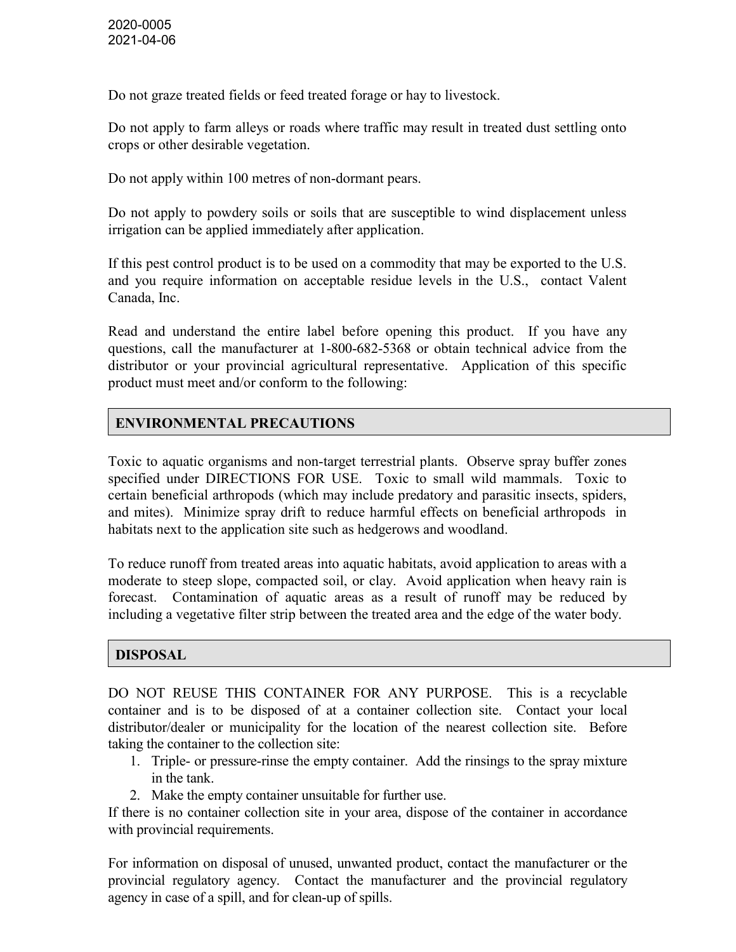Do not graze treated fields or feed treated forage or hay to livestock.

Do not apply to farm alleys or roads where traffic may result in treated dust settling onto crops or other desirable vegetation.

Do not apply within 100 metres of non-dormant pears.

Do not apply to powdery soils or soils that are susceptible to wind displacement unless irrigation can be applied immediately after application.

If this pest control product is to be used on a commodity that may be exported to the U.S. and you require information on acceptable residue levels in the U.S., contact Valent Canada, Inc.

Read and understand the entire label before opening this product. If you have any questions, call the manufacturer at 1-800-682-5368 or obtain technical advice from the distributor or your provincial agricultural representative. Application of this specific product must meet and/or conform to the following:

# ENVIRONMENTAL PRECAUTIONS

Toxic to aquatic organisms and non-target terrestrial plants. Observe spray buffer zones specified under DIRECTIONS FOR USE. Toxic to small wild mammals. Toxic to certain beneficial arthropods (which may include predatory and parasitic insects, spiders, and mites). Minimize spray drift to reduce harmful effects on beneficial arthropods in habitats next to the application site such as hedgerows and woodland.

To reduce runoff from treated areas into aquatic habitats, avoid application to areas with a moderate to steep slope, compacted soil, or clay. Avoid application when heavy rain is forecast. Contamination of aquatic areas as a result of runoff may be reduced by including a vegetative filter strip between the treated area and the edge of the water body.

# DISPOSAL

DO NOT REUSE THIS CONTAINER FOR ANY PURPOSE. This is a recyclable container and is to be disposed of at a container collection site. Contact your local distributor/dealer or municipality for the location of the nearest collection site. Before taking the container to the collection site:

- 1. Triple- or pressure-rinse the empty container. Add the rinsings to the spray mixture in the tank.
- 2. Make the empty container unsuitable for further use.

If there is no container collection site in your area, dispose of the container in accordance with provincial requirements.

For information on disposal of unused, unwanted product, contact the manufacturer or the provincial regulatory agency. Contact the manufacturer and the provincial regulatory agency in case of a spill, and for clean-up of spills.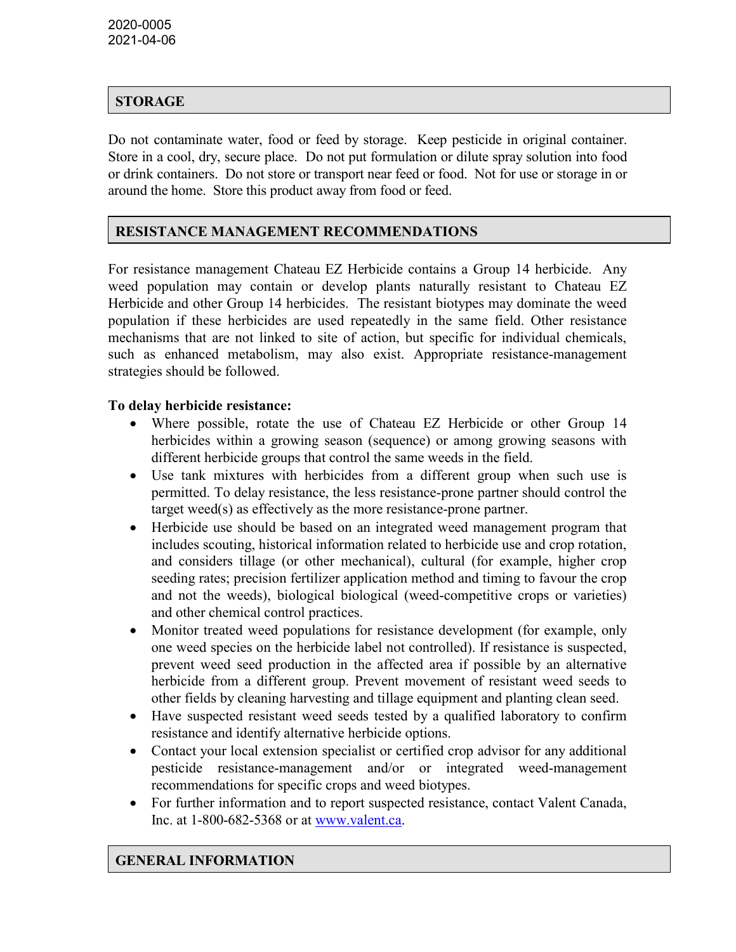# STORAGE

Do not contaminate water, food or feed by storage. Keep pesticide in original container. Store in a cool, dry, secure place. Do not put formulation or dilute spray solution into food or drink containers. Do not store or transport near feed or food. Not for use or storage in or around the home. Store this product away from food or feed.

# RESISTANCE MANAGEMENT RECOMMENDATIONS

For resistance management Chateau EZ Herbicide contains a Group 14 herbicide. Any weed population may contain or develop plants naturally resistant to Chateau EZ Herbicide and other Group 14 herbicides. The resistant biotypes may dominate the weed population if these herbicides are used repeatedly in the same field. Other resistance mechanisms that are not linked to site of action, but specific for individual chemicals, such as enhanced metabolism, may also exist. Appropriate resistance-management strategies should be followed.

#### To delay herbicide resistance:

- Where possible, rotate the use of Chateau EZ Herbicide or other Group 14 herbicides within a growing season (sequence) or among growing seasons with different herbicide groups that control the same weeds in the field.
- Use tank mixtures with herbicides from a different group when such use is permitted. To delay resistance, the less resistance-prone partner should control the target weed(s) as effectively as the more resistance-prone partner.
- Herbicide use should be based on an integrated weed management program that includes scouting, historical information related to herbicide use and crop rotation, and considers tillage (or other mechanical), cultural (for example, higher crop seeding rates; precision fertilizer application method and timing to favour the crop and not the weeds), biological biological (weed-competitive crops or varieties) and other chemical control practices.
- Monitor treated weed populations for resistance development (for example, only one weed species on the herbicide label not controlled). If resistance is suspected, prevent weed seed production in the affected area if possible by an alternative herbicide from a different group. Prevent movement of resistant weed seeds to other fields by cleaning harvesting and tillage equipment and planting clean seed.
- Have suspected resistant weed seeds tested by a qualified laboratory to confirm resistance and identify alternative herbicide options.
- Contact your local extension specialist or certified crop advisor for any additional pesticide resistance-management and/or or integrated weed-management recommendations for specific crops and weed biotypes.
- For further information and to report suspected resistance, contact Valent Canada, Inc. at 1-800-682-5368 or at www.valent.ca.

#### GENERAL INFORMATION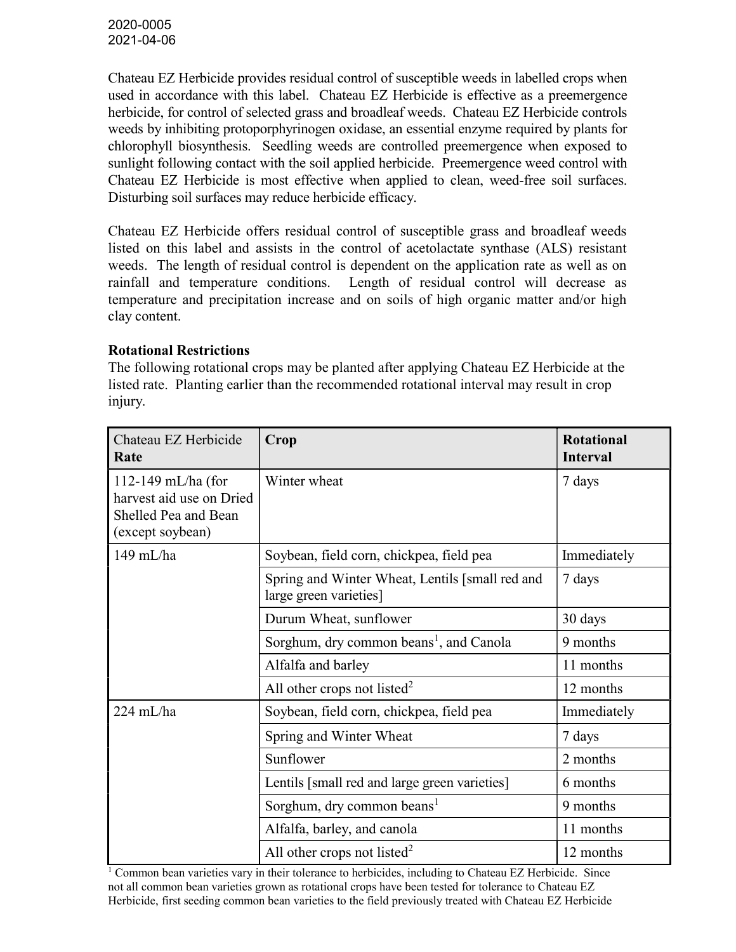Chateau EZ Herbicide provides residual control of susceptible weeds in labelled crops when used in accordance with this label. Chateau EZ Herbicide is effective as a preemergence herbicide, for control of selected grass and broadleaf weeds. Chateau EZ Herbicide controls weeds by inhibiting protoporphyrinogen oxidase, an essential enzyme required by plants for chlorophyll biosynthesis. Seedling weeds are controlled preemergence when exposed to sunlight following contact with the soil applied herbicide. Preemergence weed control with Chateau EZ Herbicide is most effective when applied to clean, weed-free soil surfaces. Disturbing soil surfaces may reduce herbicide efficacy.

Chateau EZ Herbicide offers residual control of susceptible grass and broadleaf weeds listed on this label and assists in the control of acetolactate synthase (ALS) resistant weeds. The length of residual control is dependent on the application rate as well as on rainfall and temperature conditions. Length of residual control will decrease as temperature and precipitation increase and on soils of high organic matter and/or high clay content.

### Rotational Restrictions

The following rotational crops may be planted after applying Chateau EZ Herbicide at the listed rate. Planting earlier than the recommended rotational interval may result in crop injury.

| Chateau EZ Herbicide<br>Rate                                                                 | Crop                                                                      | <b>Rotational</b><br><b>Interval</b> |
|----------------------------------------------------------------------------------------------|---------------------------------------------------------------------------|--------------------------------------|
| $112-149$ mL/ha (for<br>harvest aid use on Dried<br>Shelled Pea and Bean<br>(except soybean) | Winter wheat                                                              | 7 days                               |
| 149 mL/ha                                                                                    | Soybean, field corn, chickpea, field pea                                  | Immediately                          |
|                                                                                              | Spring and Winter Wheat, Lentils [small red and<br>large green varieties] | 7 days                               |
|                                                                                              | Durum Wheat, sunflower                                                    | 30 days                              |
|                                                                                              | Sorghum, dry common beans <sup>1</sup> , and Canola                       | 9 months                             |
|                                                                                              | Alfalfa and barley                                                        | 11 months                            |
|                                                                                              | All other crops not listed <sup>2</sup>                                   | 12 months                            |
| 224 mL/ha                                                                                    | Soybean, field corn, chickpea, field pea                                  | Immediately                          |
|                                                                                              | Spring and Winter Wheat                                                   | 7 days                               |
|                                                                                              | Sunflower                                                                 | 2 months                             |
|                                                                                              | Lentils [small red and large green varieties]                             | 6 months                             |
|                                                                                              | Sorghum, dry common beans <sup>1</sup>                                    | 9 months                             |
|                                                                                              | Alfalfa, barley, and canola                                               | 11 months                            |
|                                                                                              | All other crops not listed <sup>2</sup>                                   | 12 months                            |

<sup>1</sup> Common bean varieties vary in their tolerance to herbicides, including to Chateau EZ Herbicide. Since not all common bean varieties grown as rotational crops have been tested for tolerance to Chateau EZ Herbicide, first seeding common bean varieties to the field previously treated with Chateau EZ Herbicide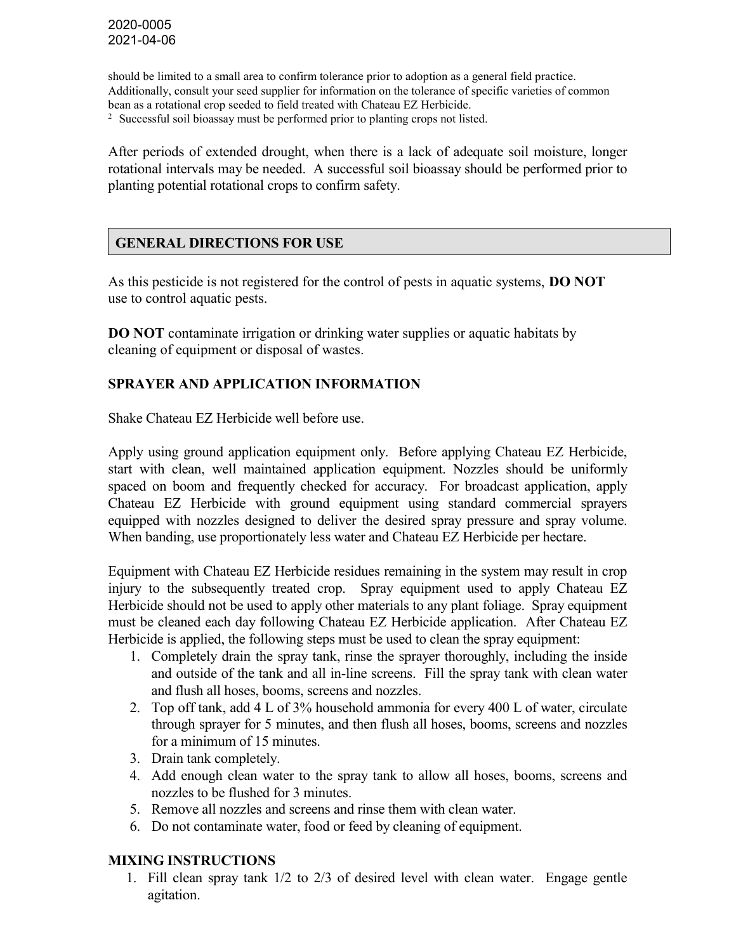should be limited to a small area to confirm tolerance prior to adoption as a general field practice. Additionally, consult your seed supplier for information on the tolerance of specific varieties of common bean as a rotational crop seeded to field treated with Chateau EZ Herbicide.

<sup>2</sup> Successful soil bioassay must be performed prior to planting crops not listed.

After periods of extended drought, when there is a lack of adequate soil moisture, longer rotational intervals may be needed. A successful soil bioassay should be performed prior to planting potential rotational crops to confirm safety.

### GENERAL DIRECTIONS FOR USE

As this pesticide is not registered for the control of pests in aquatic systems, **DO NOT** use to control aquatic pests.

DO NOT contaminate irrigation or drinking water supplies or aquatic habitats by cleaning of equipment or disposal of wastes.

#### SPRAYER AND APPLICATION INFORMATION

Shake Chateau EZ Herbicide well before use.

Apply using ground application equipment only. Before applying Chateau EZ Herbicide, start with clean, well maintained application equipment. Nozzles should be uniformly spaced on boom and frequently checked for accuracy. For broadcast application, apply Chateau EZ Herbicide with ground equipment using standard commercial sprayers equipped with nozzles designed to deliver the desired spray pressure and spray volume. When banding, use proportionately less water and Chateau EZ Herbicide per hectare.

Equipment with Chateau EZ Herbicide residues remaining in the system may result in crop injury to the subsequently treated crop. Spray equipment used to apply Chateau EZ Herbicide should not be used to apply other materials to any plant foliage. Spray equipment must be cleaned each day following Chateau EZ Herbicide application. After Chateau EZ Herbicide is applied, the following steps must be used to clean the spray equipment:

- 1. Completely drain the spray tank, rinse the sprayer thoroughly, including the inside and outside of the tank and all in-line screens. Fill the spray tank with clean water and flush all hoses, booms, screens and nozzles.
- 2. Top off tank, add 4 L of 3% household ammonia for every 400 L of water, circulate through sprayer for 5 minutes, and then flush all hoses, booms, screens and nozzles for a minimum of 15 minutes.
- 3. Drain tank completely.
- 4. Add enough clean water to the spray tank to allow all hoses, booms, screens and nozzles to be flushed for 3 minutes.
- 5. Remove all nozzles and screens and rinse them with clean water.
- 6. Do not contaminate water, food or feed by cleaning of equipment.

#### MIXING INSTRUCTIONS

1. Fill clean spray tank 1/2 to 2/3 of desired level with clean water. Engage gentle agitation.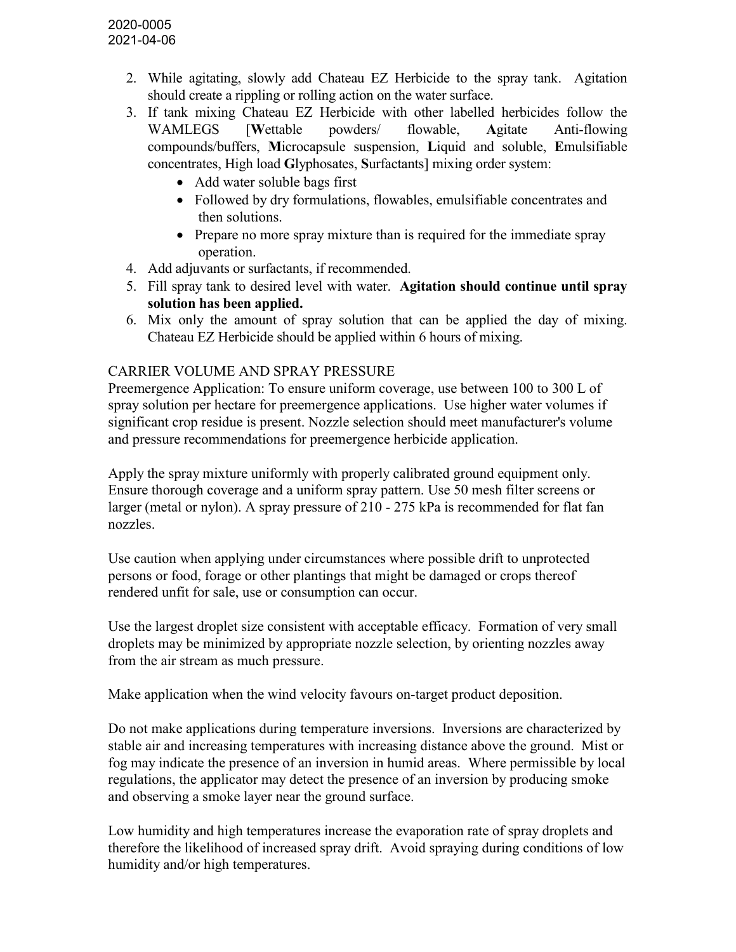- 2. While agitating, slowly add Chateau EZ Herbicide to the spray tank. Agitation should create a rippling or rolling action on the water surface.
- 3. If tank mixing Chateau EZ Herbicide with other labelled herbicides follow the WAMLEGS [Wettable powders/ flowable, Agitate Anti-flowing compounds/buffers, Microcapsule suspension, Liquid and soluble, Emulsifiable concentrates, High load Glyphosates, Surfactants] mixing order system:
	- Add water soluble bags first
	- Followed by dry formulations, flowables, emulsifiable concentrates and then solutions.
	- Prepare no more spray mixture than is required for the immediate spray operation.
- 4. Add adjuvants or surfactants, if recommended.
- 5. Fill spray tank to desired level with water. Agitation should continue until spray solution has been applied.
- 6. Mix only the amount of spray solution that can be applied the day of mixing. Chateau EZ Herbicide should be applied within 6 hours of mixing.

# CARRIER VOLUME AND SPRAY PRESSURE

Preemergence Application: To ensure uniform coverage, use between 100 to 300 L of spray solution per hectare for preemergence applications. Use higher water volumes if significant crop residue is present. Nozzle selection should meet manufacturer's volume and pressure recommendations for preemergence herbicide application.

Apply the spray mixture uniformly with properly calibrated ground equipment only. Ensure thorough coverage and a uniform spray pattern. Use 50 mesh filter screens or larger (metal or nylon). A spray pressure of 210 - 275 kPa is recommended for flat fan nozzles.

Use caution when applying under circumstances where possible drift to unprotected persons or food, forage or other plantings that might be damaged or crops thereof rendered unfit for sale, use or consumption can occur.

Use the largest droplet size consistent with acceptable efficacy. Formation of very small droplets may be minimized by appropriate nozzle selection, by orienting nozzles away from the air stream as much pressure.

Make application when the wind velocity favours on-target product deposition.

Do not make applications during temperature inversions. Inversions are characterized by stable air and increasing temperatures with increasing distance above the ground. Mist or fog may indicate the presence of an inversion in humid areas. Where permissible by local regulations, the applicator may detect the presence of an inversion by producing smoke and observing a smoke layer near the ground surface.

Low humidity and high temperatures increase the evaporation rate of spray droplets and therefore the likelihood of increased spray drift. Avoid spraying during conditions of low humidity and/or high temperatures.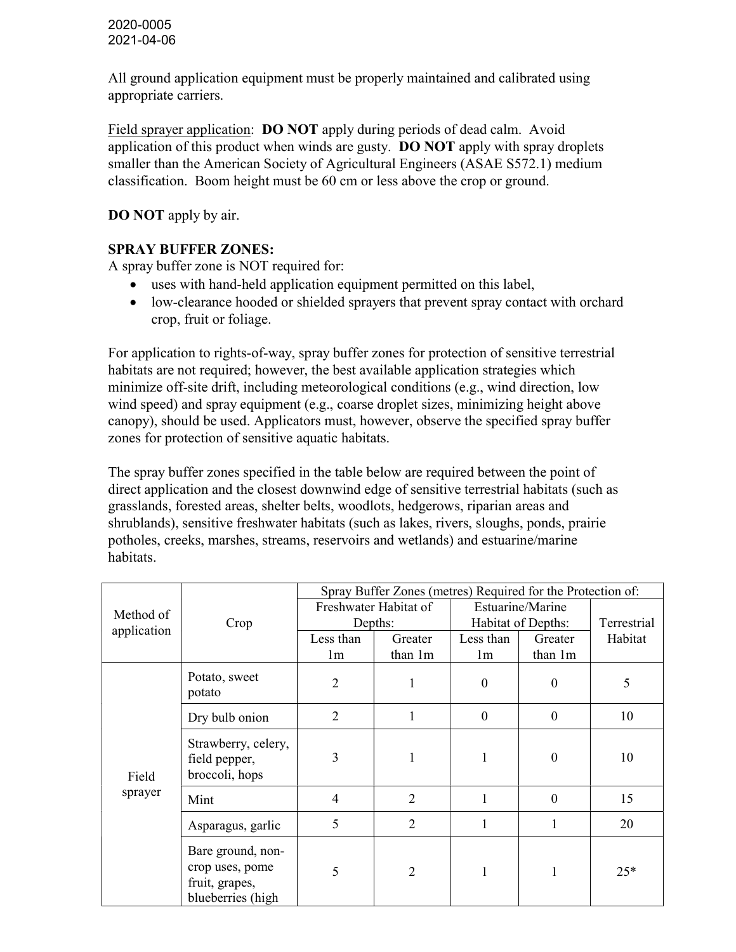All ground application equipment must be properly maintained and calibrated using appropriate carriers.

Field sprayer application: DO NOT apply during periods of dead calm. Avoid application of this product when winds are gusty. DO NOT apply with spray droplets smaller than the American Society of Agricultural Engineers (ASAE S572.1) medium classification. Boom height must be 60 cm or less above the crop or ground.

DO NOT apply by air.

# SPRAY BUFFER ZONES:

A spray buffer zone is NOT required for:

- uses with hand-held application equipment permitted on this label,
- low-clearance hooded or shielded sprayers that prevent spray contact with orchard crop, fruit or foliage.

For application to rights-of-way, spray buffer zones for protection of sensitive terrestrial habitats are not required; however, the best available application strategies which minimize off-site drift, including meteorological conditions (e.g., wind direction, low wind speed) and spray equipment (e.g., coarse droplet sizes, minimizing height above canopy), should be used. Applicators must, however, observe the specified spray buffer zones for protection of sensitive aquatic habitats.

The spray buffer zones specified in the table below are required between the point of direct application and the closest downwind edge of sensitive terrestrial habitats (such as grasslands, forested areas, shelter belts, woodlots, hedgerows, riparian areas and shrublands), sensitive freshwater habitats (such as lakes, rivers, sloughs, ponds, prairie potholes, creeks, marshes, streams, reservoirs and wetlands) and estuarine/marine habitats.

|             |                                                                             |                | Spray Buffer Zones (metres) Required for the Protection of: |                    |                  |             |
|-------------|-----------------------------------------------------------------------------|----------------|-------------------------------------------------------------|--------------------|------------------|-------------|
| Method of   |                                                                             |                | Freshwater Habitat of                                       |                    | Estuarine/Marine |             |
| application | Crop                                                                        | Depths:        |                                                             | Habitat of Depths: |                  | Terrestrial |
|             |                                                                             | Less than      | Greater                                                     | Less than          | Greater          | Habitat     |
|             |                                                                             | 1 <sub>m</sub> | than 1m                                                     | 1 <sub>m</sub>     | than 1m          |             |
|             | Potato, sweet<br>potato                                                     | 2              | 1                                                           | $\Omega$           | $\boldsymbol{0}$ | 5           |
|             | Dry bulb onion                                                              | $\overline{2}$ | 1                                                           | $\mathbf{0}$       | $\boldsymbol{0}$ | 10          |
| Field       | Strawberry, celery,<br>field pepper,<br>broccoli, hops                      | 3              | 1                                                           |                    | $\boldsymbol{0}$ | 10          |
| sprayer     | Mint                                                                        | $\overline{4}$ | $\overline{2}$                                              |                    | $\mathbf{0}$     | 15          |
|             | Asparagus, garlic                                                           | 5              | $\overline{2}$                                              |                    | 1                | 20          |
|             | Bare ground, non-<br>crop uses, pome<br>fruit, grapes,<br>blueberries (high | 5              | $\overline{2}$                                              | 1                  |                  | $25*$       |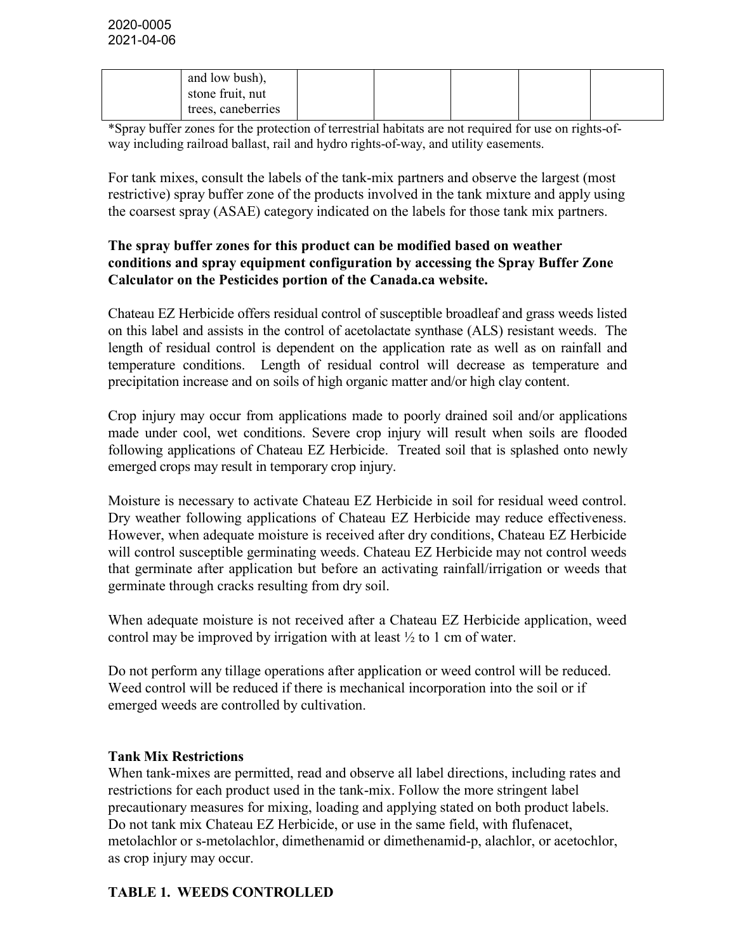| and low bush),     |  |  |
|--------------------|--|--|
| stone fruit, nut   |  |  |
| trees, caneberries |  |  |

\*Spray buffer zones for the protection of terrestrial habitats are not required for use on rights-ofway including railroad ballast, rail and hydro rights-of-way, and utility easements.

For tank mixes, consult the labels of the tank-mix partners and observe the largest (most restrictive) spray buffer zone of the products involved in the tank mixture and apply using the coarsest spray (ASAE) category indicated on the labels for those tank mix partners.

#### The spray buffer zones for this product can be modified based on weather conditions and spray equipment configuration by accessing the Spray Buffer Zone Calculator on the Pesticides portion of the Canada.ca website.

Chateau EZ Herbicide offers residual control of susceptible broadleaf and grass weeds listed on this label and assists in the control of acetolactate synthase (ALS) resistant weeds. The length of residual control is dependent on the application rate as well as on rainfall and temperature conditions. Length of residual control will decrease as temperature and precipitation increase and on soils of high organic matter and/or high clay content.

Crop injury may occur from applications made to poorly drained soil and/or applications made under cool, wet conditions. Severe crop injury will result when soils are flooded following applications of Chateau EZ Herbicide. Treated soil that is splashed onto newly emerged crops may result in temporary crop injury.

Moisture is necessary to activate Chateau EZ Herbicide in soil for residual weed control. Dry weather following applications of Chateau EZ Herbicide may reduce effectiveness. However, when adequate moisture is received after dry conditions, Chateau EZ Herbicide will control susceptible germinating weeds. Chateau EZ Herbicide may not control weeds that germinate after application but before an activating rainfall/irrigation or weeds that germinate through cracks resulting from dry soil.

When adequate moisture is not received after a Chateau EZ Herbicide application, weed control may be improved by irrigation with at least  $\frac{1}{2}$  to 1 cm of water.

Do not perform any tillage operations after application or weed control will be reduced. Weed control will be reduced if there is mechanical incorporation into the soil or if emerged weeds are controlled by cultivation.

#### Tank Mix Restrictions

When tank-mixes are permitted, read and observe all label directions, including rates and restrictions for each product used in the tank-mix. Follow the more stringent label precautionary measures for mixing, loading and applying stated on both product labels. Do not tank mix Chateau EZ Herbicide, or use in the same field, with flufenacet, metolachlor or s-metolachlor, dimethenamid or dimethenamid-p, alachlor, or acetochlor, as crop injury may occur.

#### TABLE 1. WEEDS CONTROLLED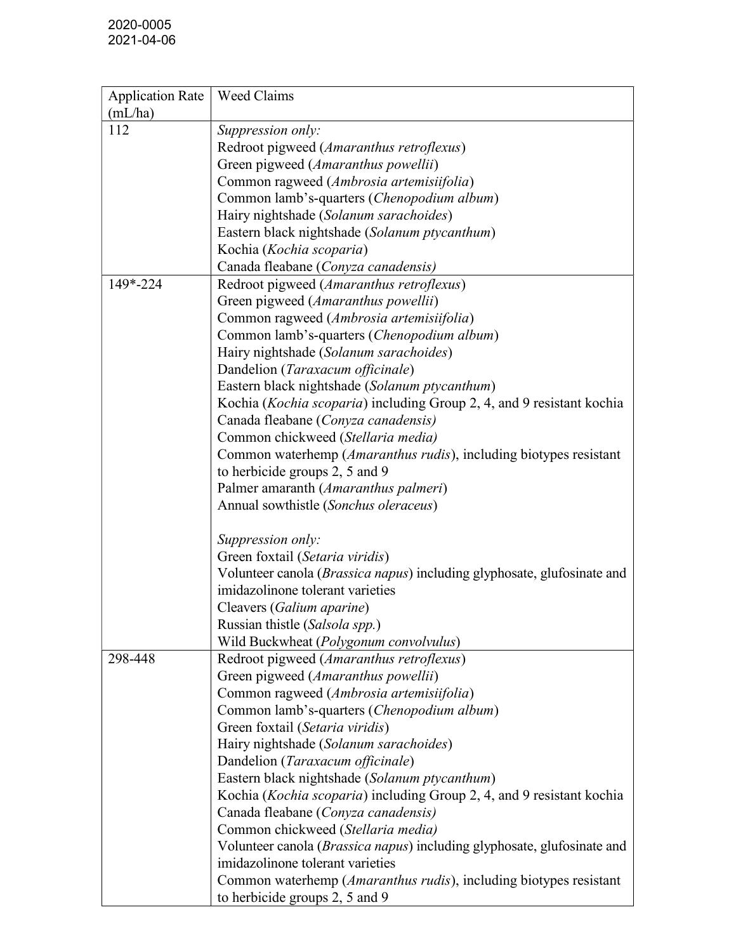| <b>Application Rate</b> | Weed Claims                                                                |
|-------------------------|----------------------------------------------------------------------------|
| (mL/ha)                 |                                                                            |
| 112                     | Suppression only:                                                          |
|                         | Redroot pigweed (Amaranthus retroflexus)                                   |
|                         | Green pigweed (Amaranthus powellii)                                        |
|                         | Common ragweed (Ambrosia artemisiifolia)                                   |
|                         | Common lamb's-quarters (Chenopodium album)                                 |
|                         | Hairy nightshade (Solanum sarachoides)                                     |
|                         | Eastern black nightshade (Solanum ptycanthum)                              |
|                         | Kochia (Kochia scoparia)                                                   |
|                         | Canada fleabane (Conyza canadensis)                                        |
| 149*-224                | Redroot pigweed (Amaranthus retroflexus)                                   |
|                         | Green pigweed (Amaranthus powellii)                                        |
|                         | Common ragweed (Ambrosia artemisiifolia)                                   |
|                         | Common lamb's-quarters (Chenopodium album)                                 |
|                         | Hairy nightshade (Solanum sarachoides)                                     |
|                         | Dandelion (Taraxacum officinale)                                           |
|                         | Eastern black nightshade (Solanum ptycanthum)                              |
|                         | Kochia (Kochia scoparia) including Group 2, 4, and 9 resistant kochia      |
|                         | Canada fleabane (Conyza canadensis)                                        |
|                         | Common chickweed (Stellaria media)                                         |
|                         | Common waterhemp (Amaranthus rudis), including biotypes resistant          |
|                         | to herbicide groups 2, 5 and 9                                             |
|                         | Palmer amaranth (Amaranthus palmeri)                                       |
|                         | Annual sowthistle (Sonchus oleraceus)                                      |
|                         | Suppression only:                                                          |
|                         | Green foxtail (Setaria viridis)                                            |
|                         | Volunteer canola (Brassica napus) including glyphosate, glufosinate and    |
|                         | imidazolinone tolerant varieties                                           |
|                         | Cleavers (Galium aparine)                                                  |
|                         | Russian thistle (Salsola spp.)                                             |
|                         | Wild Buckwheat (Polygonum convolvulus)                                     |
| 298-448                 | Redroot pigweed (Amaranthus retroflexus)                                   |
|                         | Green pigweed (Amaranthus powellii)                                        |
|                         | Common ragweed (Ambrosia artemisiifolia)                                   |
|                         | Common lamb's-quarters (Chenopodium album)                                 |
|                         | Green foxtail (Setaria viridis)                                            |
|                         | Hairy nightshade (Solanum sarachoides)                                     |
|                         | Dandelion (Taraxacum officinale)                                           |
|                         | Eastern black nightshade (Solanum ptycanthum)                              |
|                         | Kochia (Kochia scoparia) including Group 2, 4, and 9 resistant kochia      |
|                         | Canada fleabane (Conyza canadensis)                                        |
|                         | Common chickweed (Stellaria media)                                         |
|                         | Volunteer canola (Brassica napus) including glyphosate, glufosinate and    |
|                         | imidazolinone tolerant varieties                                           |
|                         | Common waterhemp ( <i>Amaranthus rudis</i> ), including biotypes resistant |
|                         | to herbicide groups 2, 5 and 9                                             |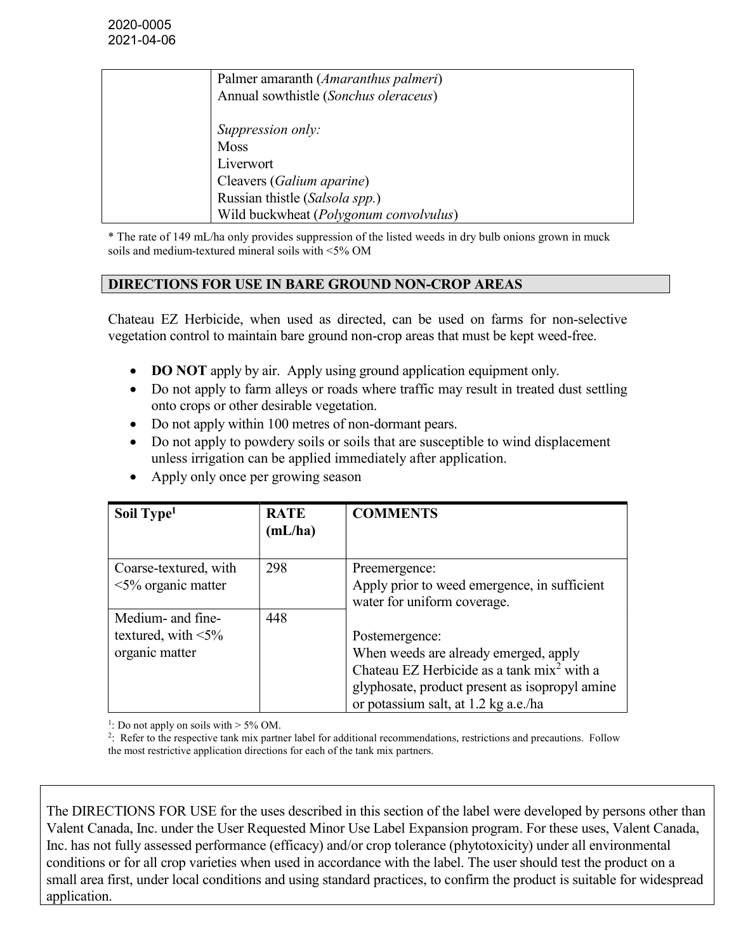| Palmer amaranth (Amaranthus palmeri)<br>Annual sowthistle (Sonchus oleraceus)                         |
|-------------------------------------------------------------------------------------------------------|
| Suppression only:<br><b>Moss</b><br>Liverwort                                                         |
| Cleavers (Galium aparine)<br>Russian thistle (Salsola spp.)<br>Wild buckwheat (Polygonum convolvulus) |

\* The rate of 149 mL/ha only provides suppression of the listed weeds in dry bulb onions grown in muck soils and medium-textured mineral soils with <5% OM

#### DIRECTIONS FOR USE IN BARE GROUND NON-CROP AREAS

Chateau EZ Herbicide, when used as directed, can be used on farms for non-selective vegetation control to maintain bare ground non-crop areas that must be kept weed-free.

- DO NOT apply by air. Apply using ground application equipment only.
- Do not apply to farm alleys or roads where traffic may result in treated dust settling onto crops or other desirable vegetation.
- Do not apply within 100 metres of non-dormant pears.
- Do not apply to powdery soils or soils that are susceptible to wind displacement unless irrigation can be applied immediately after application.
- Apply only once per growing season

| Soil Type <sup>1</sup>    | <b>RATE</b><br>(mL/ha) | <b>COMMENTS</b>                                        |
|---------------------------|------------------------|--------------------------------------------------------|
| Coarse-textured, with     | 298                    | Preemergence:                                          |
| $\leq$ 5% organic matter  |                        | Apply prior to weed emergence, in sufficient           |
|                           |                        | water for uniform coverage.                            |
| Medium- and fine-         | 448                    |                                                        |
| textured, with $\leq 5\%$ |                        | Postemergence:                                         |
| organic matter            |                        | When weeds are already emerged, apply                  |
|                           |                        | Chateau EZ Herbicide as a tank mix <sup>2</sup> with a |
|                           |                        | glyphosate, product present as isopropyl amine         |
|                           |                        | or potassium salt, at 1.2 kg a.e./ha                   |

<sup>1</sup>: Do not apply on soils with  $> 5\%$  OM.

2 : Refer to the respective tank mix partner label for additional recommendations, restrictions and precautions. Follow the most restrictive application directions for each of the tank mix partners.

The DIRECTIONS FOR USE for the uses described in this section of the label were developed by persons other than Valent Canada, Inc. under the User Requested Minor Use Label Expansion program. For these uses, Valent Canada, Inc. has not fully assessed performance (efficacy) and/or crop tolerance (phytotoxicity) under all environmental conditions or for all crop varieties when used in accordance with the label. The user should test the product on a small area first, under local conditions and using standard practices, to confirm the product is suitable for widespread application.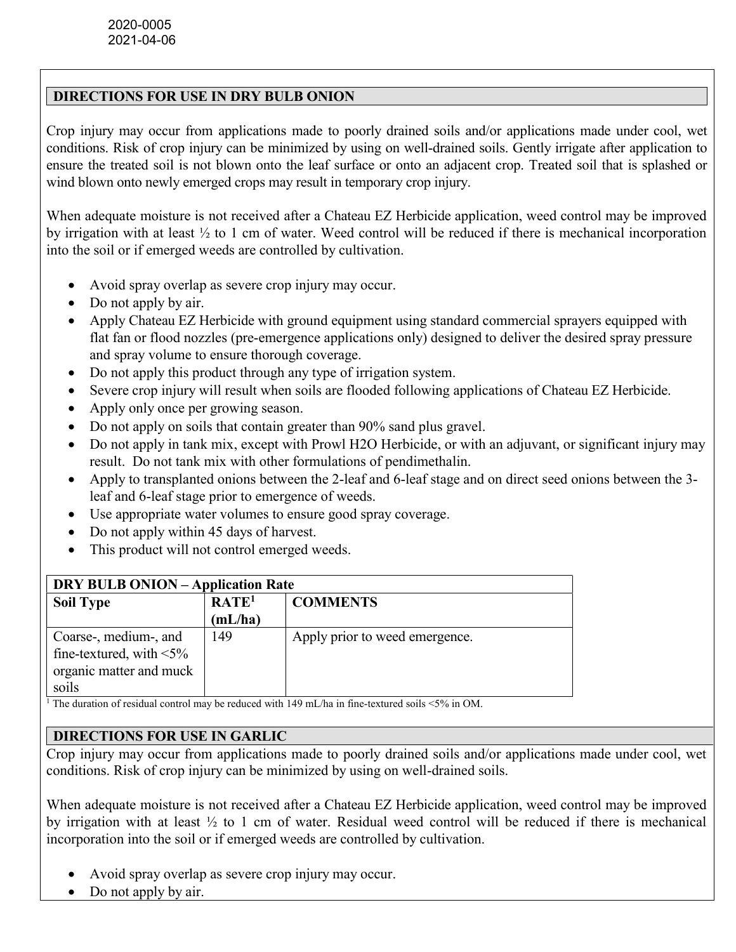# DIRECTIONS FOR USE IN DRY BULB ONION

Crop injury may occur from applications made to poorly drained soils and/or applications made under cool, wet conditions. Risk of crop injury can be minimized by using on well-drained soils. Gently irrigate after application to ensure the treated soil is not blown onto the leaf surface or onto an adjacent crop. Treated soil that is splashed or wind blown onto newly emerged crops may result in temporary crop injury.

When adequate moisture is not received after a Chateau EZ Herbicide application, weed control may be improved by irrigation with at least ½ to 1 cm of water. Weed control will be reduced if there is mechanical incorporation into the soil or if emerged weeds are controlled by cultivation.

- Avoid spray overlap as severe crop injury may occur.
- Do not apply by air.
- Apply Chateau EZ Herbicide with ground equipment using standard commercial sprayers equipped with flat fan or flood nozzles (pre-emergence applications only) designed to deliver the desired spray pressure and spray volume to ensure thorough coverage.
- Do not apply this product through any type of irrigation system.
- Severe crop injury will result when soils are flooded following applications of Chateau EZ Herbicide.
- Apply only once per growing season.
- Do not apply on soils that contain greater than 90% sand plus gravel.
- Do not apply in tank mix, except with Prowl H2O Herbicide, or with an adjuvant, or significant injury may result. Do not tank mix with other formulations of pendimethalin.
- Apply to transplanted onions between the 2-leaf and 6-leaf stage and on direct seed onions between the 3 leaf and 6-leaf stage prior to emergence of weeds.
- Use appropriate water volumes to ensure good spray coverage.
- Do not apply within 45 days of harvest.
- This product will not control emerged weeds.

| <b>DRY BULB ONION – Application Rate</b> |                   |                                |  |
|------------------------------------------|-------------------|--------------------------------|--|
| <b>Soil Type</b>                         | RATE <sup>1</sup> | <b>COMMENTS</b>                |  |
|                                          | (mL/ha)           |                                |  |
| Coarse-, medium-, and                    | 149               | Apply prior to weed emergence. |  |
| fine-textured, with $\leq 5\%$           |                   |                                |  |
| organic matter and muck                  |                   |                                |  |
| soils                                    |                   |                                |  |

<sup>1</sup> The duration of residual control may be reduced with 149 mL/ha in fine-textured soils <5% in OM.

# DIRECTIONS FOR USE IN GARLIC

Crop injury may occur from applications made to poorly drained soils and/or applications made under cool, wet conditions. Risk of crop injury can be minimized by using on well-drained soils.

When adequate moisture is not received after a Chateau EZ Herbicide application, weed control may be improved by irrigation with at least ½ to 1 cm of water. Residual weed control will be reduced if there is mechanical incorporation into the soil or if emerged weeds are controlled by cultivation.

- Avoid spray overlap as severe crop injury may occur.
- Do not apply by air.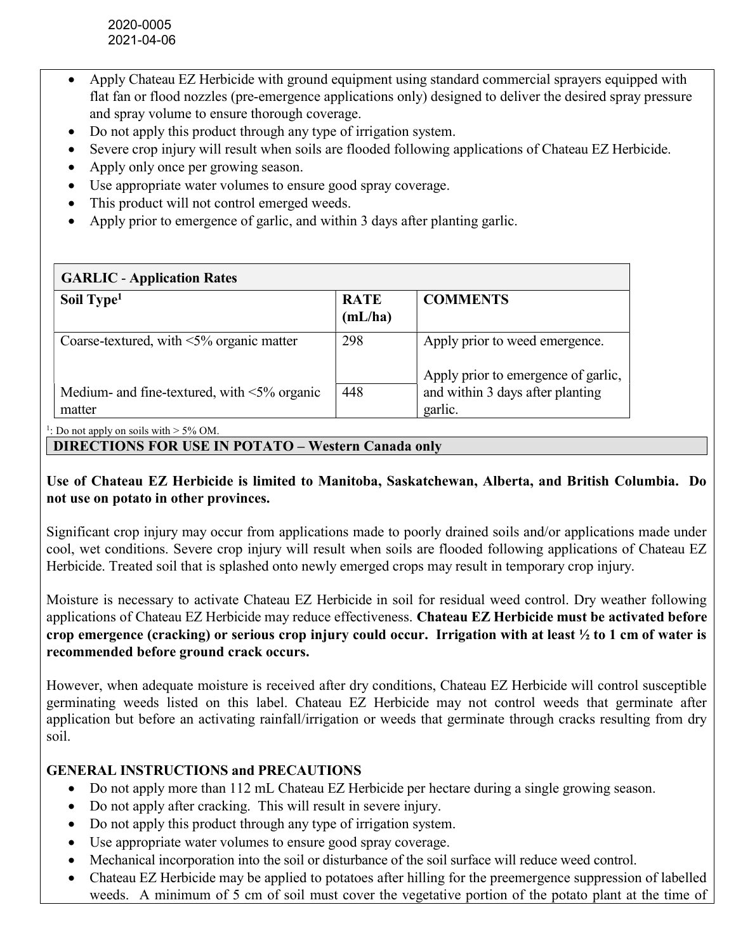- Apply Chateau EZ Herbicide with ground equipment using standard commercial sprayers equipped with flat fan or flood nozzles (pre-emergence applications only) designed to deliver the desired spray pressure and spray volume to ensure thorough coverage.
- Do not apply this product through any type of irrigation system.
- Severe crop injury will result when soils are flooded following applications of Chateau EZ Herbicide.
- Apply only once per growing season.
- Use appropriate water volumes to ensure good spray coverage.
- This product will not control emerged weeds.
- Apply prior to emergence of garlic, and within 3 days after planting garlic.

| <b>GARLIC - Application Rates</b>                            |                        |                                                                                    |
|--------------------------------------------------------------|------------------------|------------------------------------------------------------------------------------|
| Soil Type <sup>1</sup>                                       | <b>RATE</b><br>(mL/ha) | <b>COMMENTS</b>                                                                    |
| Coarse-textured, with $\leq 5\%$ organic matter              | 298                    | Apply prior to weed emergence.                                                     |
| Medium- and fine-textured, with $\leq 5\%$ organic<br>matter | 448                    | Apply prior to emergence of garlic,<br>and within 3 days after planting<br>garlic. |

<sup>1</sup>: Do not apply on soils with  $>$  5% OM.

# DIRECTIONS FOR USE IN POTATO – Western Canada only

Use of Chateau EZ Herbicide is limited to Manitoba, Saskatchewan, Alberta, and British Columbia. Do not use on potato in other provinces.

Significant crop injury may occur from applications made to poorly drained soils and/or applications made under cool, wet conditions. Severe crop injury will result when soils are flooded following applications of Chateau EZ Herbicide. Treated soil that is splashed onto newly emerged crops may result in temporary crop injury.

Moisture is necessary to activate Chateau EZ Herbicide in soil for residual weed control. Dry weather following applications of Chateau EZ Herbicide may reduce effectiveness. Chateau EZ Herbicide must be activated before crop emergence (cracking) or serious crop injury could occur. Irrigation with at least ½ to 1 cm of water is recommended before ground crack occurs.

However, when adequate moisture is received after dry conditions, Chateau EZ Herbicide will control susceptible germinating weeds listed on this label. Chateau EZ Herbicide may not control weeds that germinate after application but before an activating rainfall/irrigation or weeds that germinate through cracks resulting from dry soil.

# GENERAL INSTRUCTIONS and PRECAUTIONS

- Do not apply more than 112 mL Chateau EZ Herbicide per hectare during a single growing season.
- Do not apply after cracking. This will result in severe injury.
- Do not apply this product through any type of irrigation system.
- Use appropriate water volumes to ensure good spray coverage.
- Mechanical incorporation into the soil or disturbance of the soil surface will reduce weed control.
- Chateau EZ Herbicide may be applied to potatoes after hilling for the preemergence suppression of labelled weeds. A minimum of 5 cm of soil must cover the vegetative portion of the potato plant at the time of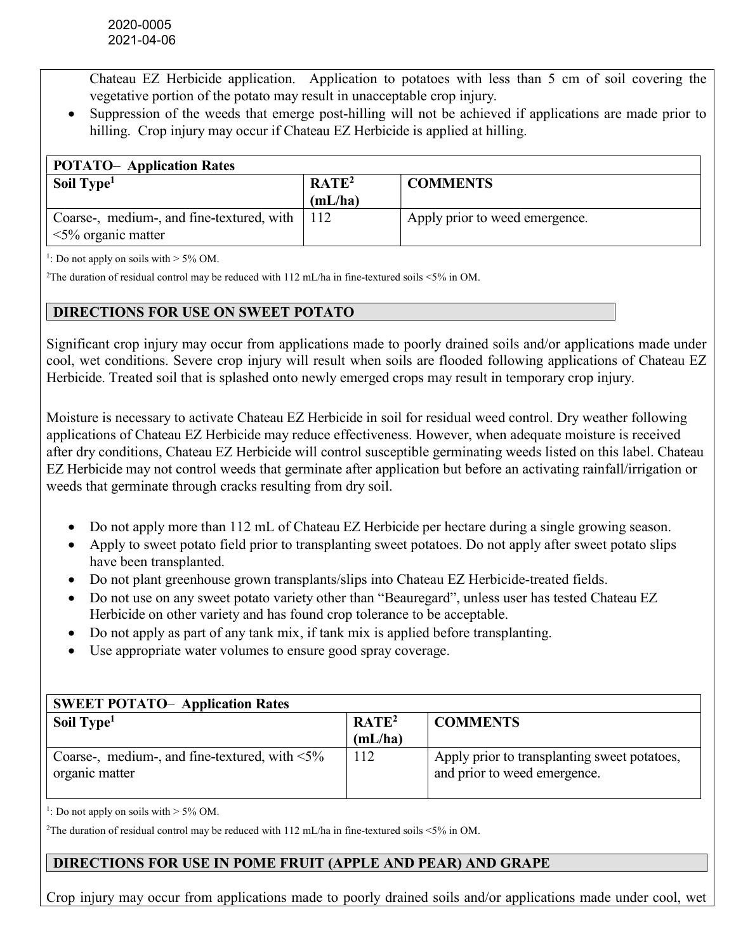Chateau EZ Herbicide application. Application to potatoes with less than 5 cm of soil covering the vegetative portion of the potato may result in unacceptable crop injury.

 Suppression of the weeds that emerge post-hilling will not be achieved if applications are made prior to hilling. Crop injury may occur if Chateau EZ Herbicide is applied at hilling.

| <b>POTATO-</b> Application Rates                |                   |                                |  |  |
|-------------------------------------------------|-------------------|--------------------------------|--|--|
| Soil Type <sup>1</sup>                          | RATE <sup>2</sup> | <b>COMMENTS</b>                |  |  |
|                                                 | (mL/ha)           |                                |  |  |
| Coarse-, medium-, and fine-textured, with   112 |                   | Apply prior to weed emergence. |  |  |
| $\leq 5\%$ organic matter                       |                   |                                |  |  |

<sup>1</sup>: Do not apply on soils with  $>$  5% OM.

<sup>2</sup>The duration of residual control may be reduced with  $112$  mL/ha in fine-textured soils <5% in OM.

### DIRECTIONS FOR USE ON SWEET POTATO

Significant crop injury may occur from applications made to poorly drained soils and/or applications made under cool, wet conditions. Severe crop injury will result when soils are flooded following applications of Chateau EZ Herbicide. Treated soil that is splashed onto newly emerged crops may result in temporary crop injury.

Moisture is necessary to activate Chateau EZ Herbicide in soil for residual weed control. Dry weather following applications of Chateau EZ Herbicide may reduce effectiveness. However, when adequate moisture is received after dry conditions, Chateau EZ Herbicide will control susceptible germinating weeds listed on this label. Chateau EZ Herbicide may not control weeds that germinate after application but before an activating rainfall/irrigation or weeds that germinate through cracks resulting from dry soil.

- Do not apply more than 112 mL of Chateau EZ Herbicide per hectare during a single growing season.
- Apply to sweet potato field prior to transplanting sweet potatoes. Do not apply after sweet potato slips have been transplanted.
- Do not plant greenhouse grown transplants/slips into Chateau EZ Herbicide-treated fields.
- Do not use on any sweet potato variety other than "Beauregard", unless user has tested Chateau EZ Herbicide on other variety and has found crop tolerance to be acceptable.
- Do not apply as part of any tank mix, if tank mix is applied before transplanting.
- Use appropriate water volumes to ensure good spray coverage.

| <b>SWEET POTATO- Application Rates</b>               |                   |                                              |
|------------------------------------------------------|-------------------|----------------------------------------------|
| Soil Type <sup>1</sup>                               | RATE <sup>2</sup> | <b>COMMENTS</b>                              |
|                                                      | (mL/ha)           |                                              |
| Coarse-, medium-, and fine-textured, with $\leq 5\%$ | 112               | Apply prior to transplanting sweet potatoes, |
| organic matter                                       |                   | and prior to weed emergence.                 |
|                                                      |                   |                                              |

<sup>1</sup>: Do not apply on soils with  $> 5\%$  OM.

<sup>2</sup>The duration of residual control may be reduced with 112 mL/ha in fine-textured soils <5% in OM.

# DIRECTIONS FOR USE IN POME FRUIT (APPLE AND PEAR) AND GRAPE

Crop injury may occur from applications made to poorly drained soils and/or applications made under cool, wet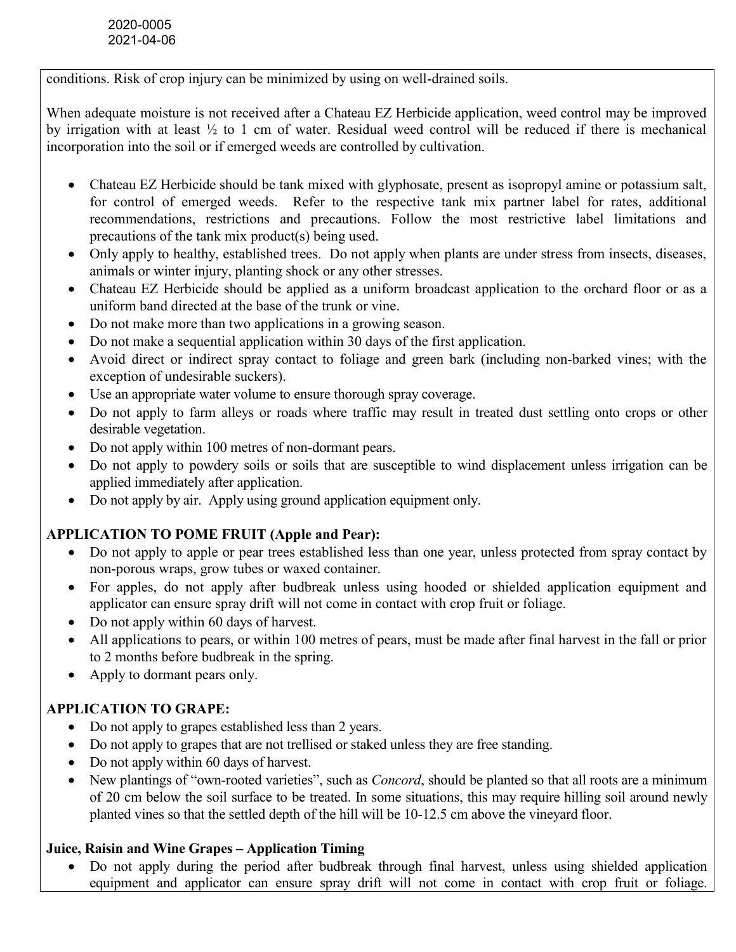conditions. Risk of crop injury can be minimized by using on well-drained soils.

When adequate moisture is not received after a Chateau EZ Herbicide application, weed control may be improved by irrigation with at least ½ to 1 cm of water. Residual weed control will be reduced if there is mechanical incorporation into the soil or if emerged weeds are controlled by cultivation.

- Chateau EZ Herbicide should be tank mixed with glyphosate, present as isopropyl amine or potassium salt, for control of emerged weeds. Refer to the respective tank mix partner label for rates, additional recommendations, restrictions and precautions. Follow the most restrictive label limitations and precautions of the tank mix product(s) being used.
- Only apply to healthy, established trees. Do not apply when plants are under stress from insects, diseases, animals or winter injury, planting shock or any other stresses.
- Chateau EZ Herbicide should be applied as a uniform broadcast application to the orchard floor or as a uniform band directed at the base of the trunk or vine.
- Do not make more than two applications in a growing season.
- Do not make a sequential application within 30 days of the first application.
- Avoid direct or indirect spray contact to foliage and green bark (including non-barked vines; with the exception of undesirable suckers).
- Use an appropriate water volume to ensure thorough spray coverage.
- Do not apply to farm alleys or roads where traffic may result in treated dust settling onto crops or other desirable vegetation.
- Do not apply within 100 metres of non-dormant pears.
- Do not apply to powdery soils or soils that are susceptible to wind displacement unless irrigation can be applied immediately after application.
- Do not apply by air. Apply using ground application equipment only.

# APPLICATION TO POME FRUIT (Apple and Pear):

- Do not apply to apple or pear trees established less than one year, unless protected from spray contact by non-porous wraps, grow tubes or waxed container.
- For apples, do not apply after budbreak unless using hooded or shielded application equipment and applicator can ensure spray drift will not come in contact with crop fruit or foliage.
- Do not apply within 60 days of harvest.
- All applications to pears, or within 100 metres of pears, must be made after final harvest in the fall or prior to 2 months before budbreak in the spring.
- Apply to dormant pears only.

# APPLICATION TO GRAPE:

- Do not apply to grapes established less than 2 years.
- Do not apply to grapes that are not trellised or staked unless they are free standing.
- Do not apply within 60 days of harvest.
- New plantings of "own-rooted varieties", such as *Concord*, should be planted so that all roots are a minimum of 20 cm below the soil surface to be treated. In some situations, this may require hilling soil around newly planted vines so that the settled depth of the hill will be 10-12.5 cm above the vineyard floor.

# Juice, Raisin and Wine Grapes – Application Timing

 Do not apply during the period after budbreak through final harvest, unless using shielded application equipment and applicator can ensure spray drift will not come in contact with crop fruit or foliage.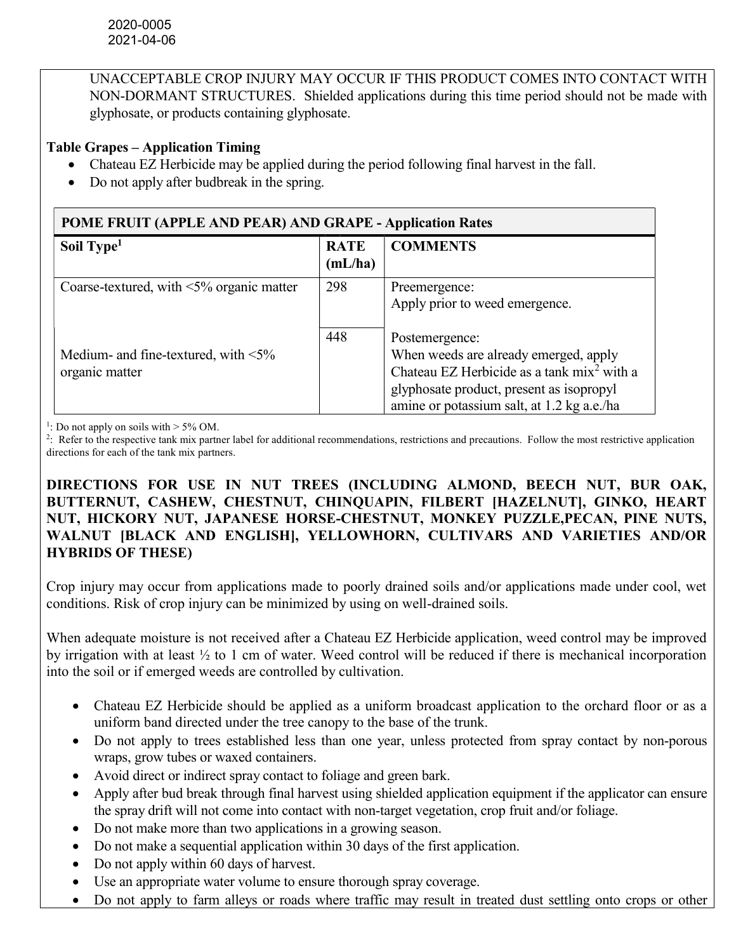UNACCEPTABLE CROP INJURY MAY OCCUR IF THIS PRODUCT COMES INTO CONTACT WITH NON-DORMANT STRUCTURES. Shielded applications during this time period should not be made with glyphosate, or products containing glyphosate.

### Table Grapes – Application Timing

- Chateau EZ Herbicide may be applied during the period following final harvest in the fall.
- Do not apply after budbreak in the spring.

| POME FRUIT (APPLE AND PEAR) AND GRAPE - Application Rates    |                        |                                                                                                                                                                                                             |  |
|--------------------------------------------------------------|------------------------|-------------------------------------------------------------------------------------------------------------------------------------------------------------------------------------------------------------|--|
| Soil Type <sup>1</sup>                                       | <b>RATE</b><br>(mL/ha) | <b>COMMENTS</b>                                                                                                                                                                                             |  |
| Coarse-textured, with $\leq 5\%$ organic matter              | 298                    | Preemergence:<br>Apply prior to weed emergence.                                                                                                                                                             |  |
| Medium- and fine-textured, with $\leq 5\%$<br>organic matter | 448                    | Postemergence:<br>When weeds are already emerged, apply<br>Chateau EZ Herbicide as a tank mix <sup>2</sup> with a<br>glyphosate product, present as isopropyl<br>amine or potassium salt, at 1.2 kg a.e./ha |  |

<sup>1</sup>: Do not apply on soils with  $> 5\%$  OM.

2 : Refer to the respective tank mix partner label for additional recommendations, restrictions and precautions. Follow the most restrictive application directions for each of the tank mix partners.

### DIRECTIONS FOR USE IN NUT TREES (INCLUDING ALMOND, BEECH NUT, BUR OAK, BUTTERNUT, CASHEW, CHESTNUT, CHINQUAPIN, FILBERT [HAZELNUT], GINKO, HEART NUT, HICKORY NUT, JAPANESE HORSE-CHESTNUT, MONKEY PUZZLE,PECAN, PINE NUTS, WALNUT [BLACK AND ENGLISH], YELLOWHORN, CULTIVARS AND VARIETIES AND/OR HYBRIDS OF THESE)

Crop injury may occur from applications made to poorly drained soils and/or applications made under cool, wet conditions. Risk of crop injury can be minimized by using on well-drained soils.

When adequate moisture is not received after a Chateau EZ Herbicide application, weed control may be improved by irrigation with at least ½ to 1 cm of water. Weed control will be reduced if there is mechanical incorporation into the soil or if emerged weeds are controlled by cultivation.

- Chateau EZ Herbicide should be applied as a uniform broadcast application to the orchard floor or as a uniform band directed under the tree canopy to the base of the trunk.
- Do not apply to trees established less than one year, unless protected from spray contact by non-porous wraps, grow tubes or waxed containers.
- Avoid direct or indirect spray contact to foliage and green bark.
- Apply after bud break through final harvest using shielded application equipment if the applicator can ensure the spray drift will not come into contact with non-target vegetation, crop fruit and/or foliage.
- Do not make more than two applications in a growing season.
- Do not make a sequential application within 30 days of the first application.
- Do not apply within 60 days of harvest.
- Use an appropriate water volume to ensure thorough spray coverage.
- Do not apply to farm alleys or roads where traffic may result in treated dust settling onto crops or other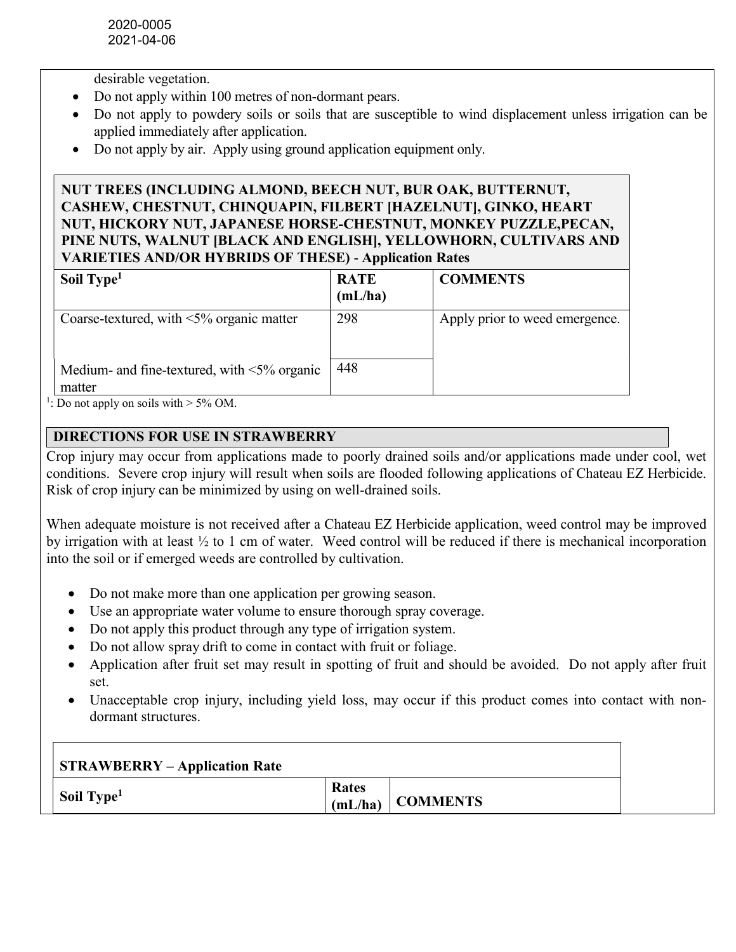desirable vegetation.

- Do not apply within 100 metres of non-dormant pears.
- Do not apply to powdery soils or soils that are susceptible to wind displacement unless irrigation can be applied immediately after application.
- Do not apply by air. Apply using ground application equipment only.

# NUT TREES (INCLUDING ALMOND, BEECH NUT, BUR OAK, BUTTERNUT, CASHEW, CHESTNUT, CHINQUAPIN, FILBERT [HAZELNUT], GINKO, HEART NUT, HICKORY NUT, JAPANESE HORSE-CHESTNUT, MONKEY PUZZLE,PECAN, PINE NUTS, WALNUT [BLACK AND ENGLISH], YELLOWHORN, CULTIVARS AND VARIETIES AND/OR HYBRIDS OF THESE) - Application Rates

| Soil Type <sup>1</sup>                                                                                                                      | <b>RATE</b><br>(mL/ha) | <b>COMMENTS</b>                |
|---------------------------------------------------------------------------------------------------------------------------------------------|------------------------|--------------------------------|
| Coarse-textured, with $\leq 5\%$ organic matter                                                                                             | 298                    | Apply prior to weed emergence. |
| Medium- and fine-textured, with $\leq 5\%$ organic<br>matter<br>$\mathbf{D}_{\text{c}}$ and contract is set to $\mathbf{D}$ or $\mathbf{D}$ | 448                    |                                |

<sup>1</sup>: Do not apply on soils with  $>$  5% OM.

# DIRECTIONS FOR USE IN STRAWBERRY

Crop injury may occur from applications made to poorly drained soils and/or applications made under cool, wet conditions. Severe crop injury will result when soils are flooded following applications of Chateau EZ Herbicide. Risk of crop injury can be minimized by using on well-drained soils.

When adequate moisture is not received after a Chateau EZ Herbicide application, weed control may be improved by irrigation with at least ½ to 1 cm of water. Weed control will be reduced if there is mechanical incorporation into the soil or if emerged weeds are controlled by cultivation.

- Do not make more than one application per growing season.
- Use an appropriate water volume to ensure thorough spray coverage.
- Do not apply this product through any type of irrigation system.
- Do not allow spray drift to come in contact with fruit or foliage.
- Application after fruit set may result in spotting of fruit and should be avoided. Do not apply after fruit set.
- Unacceptable crop injury, including yield loss, may occur if this product comes into contact with nondormant structures.

| <b>STRAWBERRY – Application Rate</b> |                  |                 |
|--------------------------------------|------------------|-----------------|
| Soil Type <sup>1</sup>               | Rates<br>(mL/ha) | <b>COMMENTS</b> |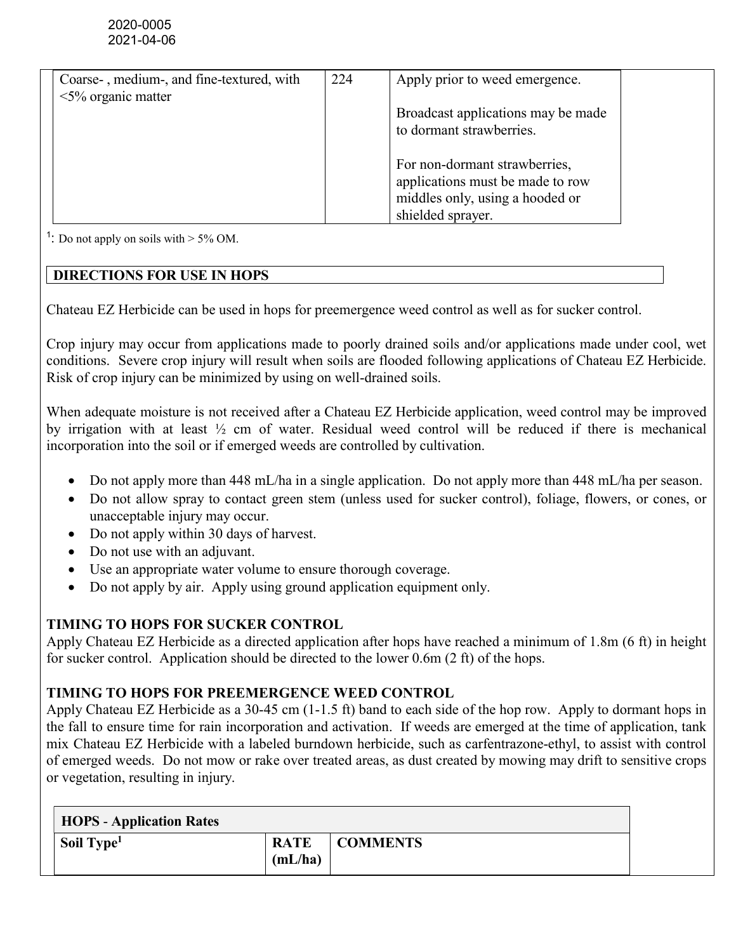| Coarse-, medium-, and fine-textured, with | 224 | Apply prior to weed emergence.     |  |
|-------------------------------------------|-----|------------------------------------|--|
| $\leq$ 5% organic matter                  |     |                                    |  |
|                                           |     | Broadcast applications may be made |  |
|                                           |     | to dormant strawberries.           |  |
|                                           |     |                                    |  |
|                                           |     | For non-dormant strawberries,      |  |
|                                           |     | applications must be made to row   |  |
|                                           |     | middles only, using a hooded or    |  |
|                                           |     | shielded sprayer.                  |  |

<sup>1</sup>: Do not apply on soils with  $>$  5% OM.

# DIRECTIONS FOR USE IN HOPS

Chateau EZ Herbicide can be used in hops for preemergence weed control as well as for sucker control.

Crop injury may occur from applications made to poorly drained soils and/or applications made under cool, wet conditions. Severe crop injury will result when soils are flooded following applications of Chateau EZ Herbicide. Risk of crop injury can be minimized by using on well-drained soils.

When adequate moisture is not received after a Chateau EZ Herbicide application, weed control may be improved by irrigation with at least ½ cm of water. Residual weed control will be reduced if there is mechanical incorporation into the soil or if emerged weeds are controlled by cultivation.

- Do not apply more than 448 mL/ha in a single application. Do not apply more than 448 mL/ha per season.
- Do not allow spray to contact green stem (unless used for sucker control), foliage, flowers, or cones, or unacceptable injury may occur.
- Do not apply within 30 days of harvest.
- Do not use with an adjuvant.
- Use an appropriate water volume to ensure thorough coverage.
- Do not apply by air. Apply using ground application equipment only.

# TIMING TO HOPS FOR SUCKER CONTROL

Apply Chateau EZ Herbicide as a directed application after hops have reached a minimum of 1.8m (6 ft) in height for sucker control. Application should be directed to the lower 0.6m (2 ft) of the hops.

# TIMING TO HOPS FOR PREEMERGENCE WEED CONTROL

Apply Chateau EZ Herbicide as a 30-45 cm (1-1.5 ft) band to each side of the hop row. Apply to dormant hops in the fall to ensure time for rain incorporation and activation. If weeds are emerged at the time of application, tank mix Chateau EZ Herbicide with a labeled burndown herbicide, such as carfentrazone-ethyl, to assist with control of emerged weeds. Do not mow or rake over treated areas, as dust created by mowing may drift to sensitive crops or vegetation, resulting in injury.

| <b>HOPS</b> - Application Rates |                        |                 |
|---------------------------------|------------------------|-----------------|
| Soil Type <sup>1</sup>          | <b>RATE</b><br>(mL/ha) | <b>COMMENTS</b> |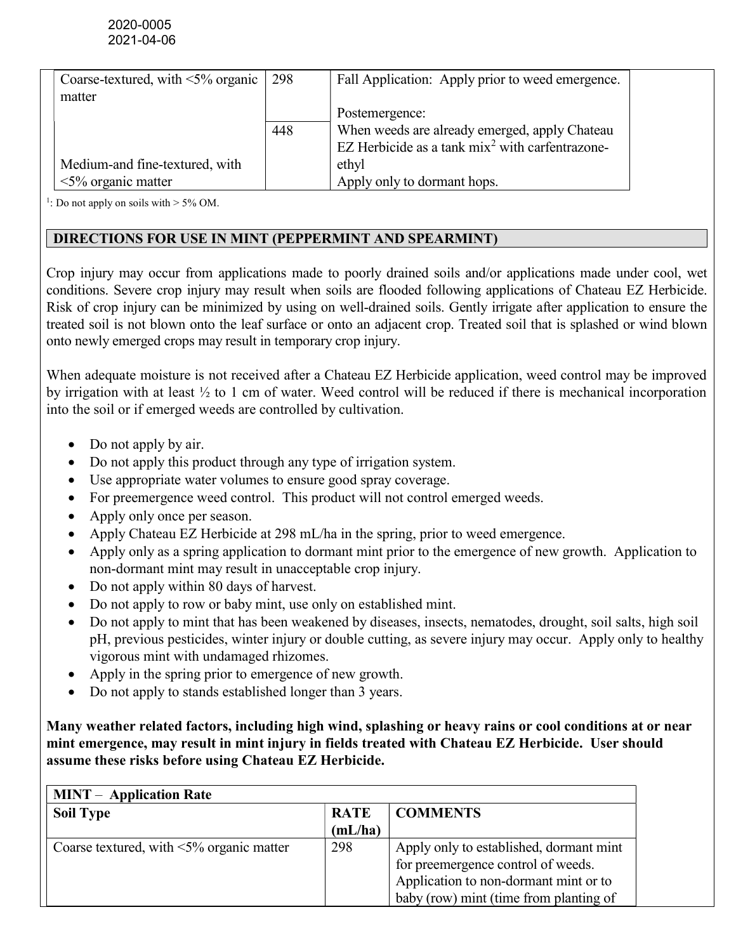| Coarse-textured, with $\leq 5\%$ organic | 298 | Fall Application: Apply prior to weed emergence.    |  |
|------------------------------------------|-----|-----------------------------------------------------|--|
| matter                                   |     |                                                     |  |
|                                          |     | Postemergence:                                      |  |
|                                          | 448 | When weeds are already emerged, apply Chateau       |  |
|                                          |     | EZ Herbicide as a tank $mix^2$ with carfent razone- |  |
| Medium-and fine-textured, with           |     | ethyl                                               |  |
| $\leq$ 5% organic matter                 |     | Apply only to dormant hops.                         |  |

<sup>1</sup>: Do not apply on soils with  $> 5\%$  OM.

### DIRECTIONS FOR USE IN MINT (PEPPERMINT AND SPEARMINT)

Crop injury may occur from applications made to poorly drained soils and/or applications made under cool, wet conditions. Severe crop injury may result when soils are flooded following applications of Chateau EZ Herbicide. Risk of crop injury can be minimized by using on well-drained soils. Gently irrigate after application to ensure the treated soil is not blown onto the leaf surface or onto an adjacent crop. Treated soil that is splashed or wind blown onto newly emerged crops may result in temporary crop injury.

When adequate moisture is not received after a Chateau EZ Herbicide application, weed control may be improved by irrigation with at least ½ to 1 cm of water. Weed control will be reduced if there is mechanical incorporation into the soil or if emerged weeds are controlled by cultivation.

- Do not apply by air.
- Do not apply this product through any type of irrigation system.
- Use appropriate water volumes to ensure good spray coverage.
- For preemergence weed control. This product will not control emerged weeds.
- Apply only once per season.
- Apply Chateau EZ Herbicide at 298 mL/ha in the spring, prior to weed emergence.
- Apply only as a spring application to dormant mint prior to the emergence of new growth. Application to non-dormant mint may result in unacceptable crop injury.
- Do not apply within 80 days of harvest.
- Do not apply to row or baby mint, use only on established mint.
- Do not apply to mint that has been weakened by diseases, insects, nematodes, drought, soil salts, high soil pH, previous pesticides, winter injury or double cutting, as severe injury may occur. Apply only to healthy vigorous mint with undamaged rhizomes.
- Apply in the spring prior to emergence of new growth.
- Do not apply to stands established longer than 3 years.

Many weather related factors, including high wind, splashing or heavy rains or cool conditions at or near mint emergence, may result in mint injury in fields treated with Chateau EZ Herbicide. User should assume these risks before using Chateau EZ Herbicide.

| <b>MINT</b> – Application Rate                  |             |                                         |  |
|-------------------------------------------------|-------------|-----------------------------------------|--|
| <b>Soil Type</b>                                | <b>RATE</b> | <b>COMMENTS</b>                         |  |
|                                                 | (mL/ha)     |                                         |  |
| Coarse textured, with $\leq 5\%$ organic matter | 298         | Apply only to established, dormant mint |  |
|                                                 |             | for preemergence control of weeds.      |  |
|                                                 |             | Application to non-dormant mint or to   |  |
|                                                 |             | baby (row) mint (time from planting of  |  |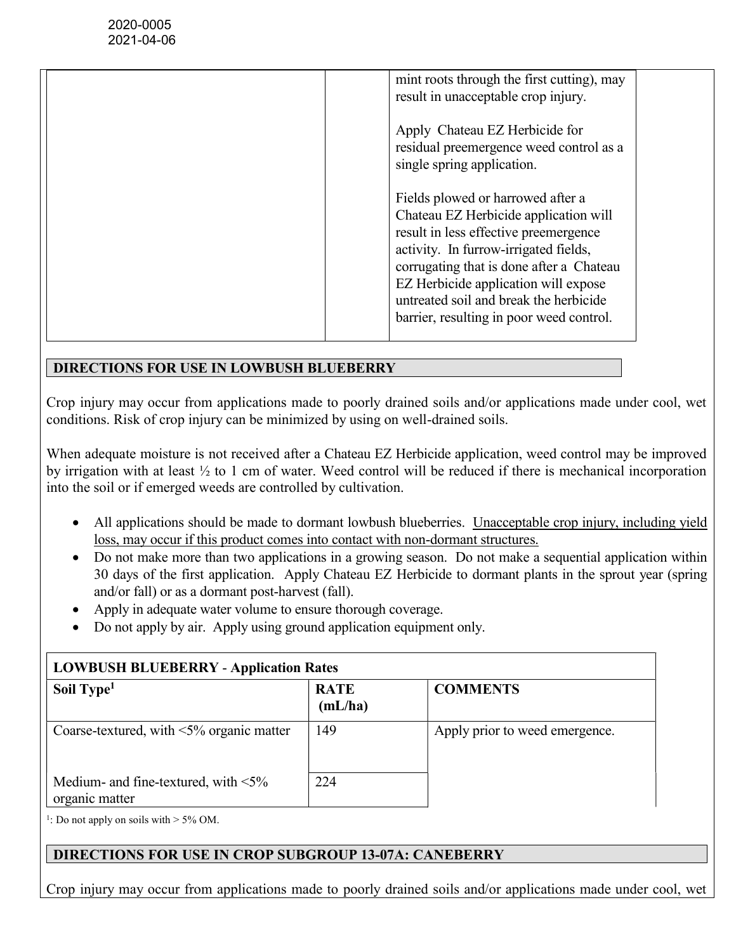| mint roots through the first cutting), may<br>result in unacceptable crop injury.                                                                                                                                                                                                                                                      |
|----------------------------------------------------------------------------------------------------------------------------------------------------------------------------------------------------------------------------------------------------------------------------------------------------------------------------------------|
| Apply Chateau EZ Herbicide for<br>residual preemergence weed control as a<br>single spring application.                                                                                                                                                                                                                                |
| Fields plowed or harrowed after a<br>Chateau EZ Herbicide application will<br>result in less effective preemergence<br>activity. In furrow-irrigated fields,<br>corrugating that is done after a Chateau<br>EZ Herbicide application will expose<br>untreated soil and break the herbicide<br>barrier, resulting in poor weed control. |

### DIRECTIONS FOR USE IN LOWBUSH BLUEBERRY

Crop injury may occur from applications made to poorly drained soils and/or applications made under cool, wet conditions. Risk of crop injury can be minimized by using on well-drained soils.

When adequate moisture is not received after a Chateau EZ Herbicide application, weed control may be improved by irrigation with at least ½ to 1 cm of water. Weed control will be reduced if there is mechanical incorporation into the soil or if emerged weeds are controlled by cultivation.

- All applications should be made to dormant lowbush blueberries. Unacceptable crop injury, including yield loss, may occur if this product comes into contact with non-dormant structures.
- Do not make more than two applications in a growing season. Do not make a sequential application within 30 days of the first application. Apply Chateau EZ Herbicide to dormant plants in the sprout year (spring and/or fall) or as a dormant post-harvest (fall).
- Apply in adequate water volume to ensure thorough coverage.
- Do not apply by air. Apply using ground application equipment only.

| <b>LOWBUSH BLUEBERRY - Application Rates</b>                 |                        |                                |  |
|--------------------------------------------------------------|------------------------|--------------------------------|--|
| Soil Type <sup>1</sup>                                       | <b>RATE</b><br>(mL/ha) | <b>COMMENTS</b>                |  |
| Coarse-textured, with $\leq 5\%$ organic matter              | 149                    | Apply prior to weed emergence. |  |
| Medium- and fine-textured, with $\leq 5\%$<br>organic matter | 224                    |                                |  |

<sup>1</sup>: Do not apply on soils with  $>$  5% OM.

#### DIRECTIONS FOR USE IN CROP SUBGROUP 13-07A: CANEBERRY

Crop injury may occur from applications made to poorly drained soils and/or applications made under cool, wet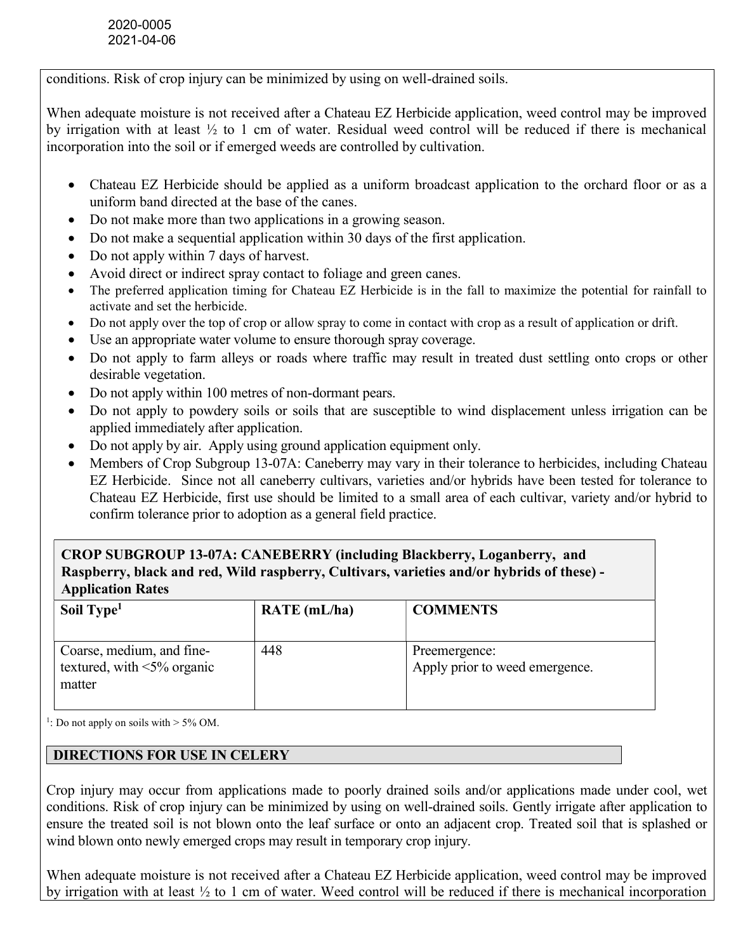conditions. Risk of crop injury can be minimized by using on well-drained soils.

When adequate moisture is not received after a Chateau EZ Herbicide application, weed control may be improved by irrigation with at least ½ to 1 cm of water. Residual weed control will be reduced if there is mechanical incorporation into the soil or if emerged weeds are controlled by cultivation.

- Chateau EZ Herbicide should be applied as a uniform broadcast application to the orchard floor or as a uniform band directed at the base of the canes.
- Do not make more than two applications in a growing season.
- Do not make a sequential application within 30 days of the first application.
- Do not apply within 7 days of harvest.
- Avoid direct or indirect spray contact to foliage and green canes.
- The preferred application timing for Chateau EZ Herbicide is in the fall to maximize the potential for rainfall to activate and set the herbicide.
- Do not apply over the top of crop or allow spray to come in contact with crop as a result of application or drift.
- Use an appropriate water volume to ensure thorough spray coverage.
- Do not apply to farm alleys or roads where traffic may result in treated dust settling onto crops or other desirable vegetation.
- Do not apply within 100 metres of non-dormant pears.
- Do not apply to powdery soils or soils that are susceptible to wind displacement unless irrigation can be applied immediately after application.
- Do not apply by air. Apply using ground application equipment only.
- Members of Crop Subgroup 13-07A: Caneberry may vary in their tolerance to herbicides, including Chateau EZ Herbicide. Since not all caneberry cultivars, varieties and/or hybrids have been tested for tolerance to Chateau EZ Herbicide, first use should be limited to a small area of each cultivar, variety and/or hybrid to confirm tolerance prior to adoption as a general field practice.

# CROP SUBGROUP 13-07A: CANEBERRY (including Blackberry, Loganberry, and Raspberry, black and red, Wild raspberry, Cultivars, varieties and/or hybrids of these) - Application Rates

| Soil Type <sup>1</sup>                                                   | $RATE$ (mL/ha) | <b>COMMENTS</b>                                 |
|--------------------------------------------------------------------------|----------------|-------------------------------------------------|
| Coarse, medium, and fine-<br>textured, with $\leq 5\%$ organic<br>matter | 448            | Preemergence:<br>Apply prior to weed emergence. |

<sup>1</sup>: Do not apply on soils with  $>$  5% OM.

#### DIRECTIONS FOR USE IN CELERY

Crop injury may occur from applications made to poorly drained soils and/or applications made under cool, wet conditions. Risk of crop injury can be minimized by using on well-drained soils. Gently irrigate after application to ensure the treated soil is not blown onto the leaf surface or onto an adjacent crop. Treated soil that is splashed or wind blown onto newly emerged crops may result in temporary crop injury.

When adequate moisture is not received after a Chateau EZ Herbicide application, weed control may be improved by irrigation with at least ½ to 1 cm of water. Weed control will be reduced if there is mechanical incorporation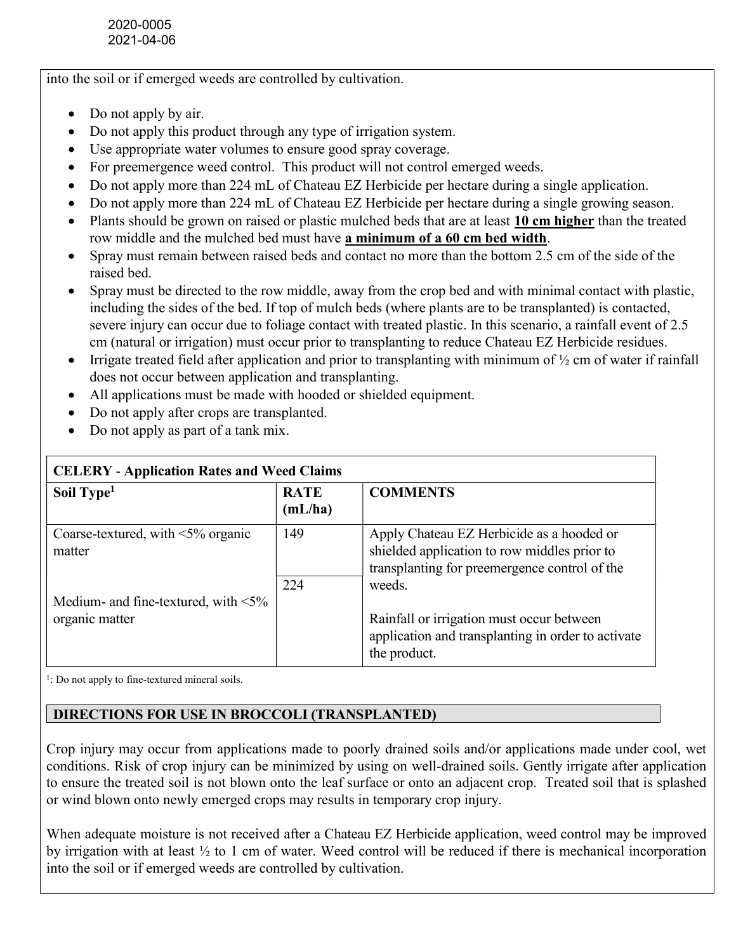into the soil or if emerged weeds are controlled by cultivation.

- Do not apply by air.
- Do not apply this product through any type of irrigation system.
- Use appropriate water volumes to ensure good spray coverage.
- For preemergence weed control. This product will not control emerged weeds.
- Do not apply more than 224 mL of Chateau EZ Herbicide per hectare during a single application.
- Do not apply more than 224 mL of Chateau EZ Herbicide per hectare during a single growing season.
- Plants should be grown on raised or plastic mulched beds that are at least 10 cm higher than the treated row middle and the mulched bed must have a minimum of a 60 cm bed width.
- Spray must remain between raised beds and contact no more than the bottom 2.5 cm of the side of the raised bed.
- Spray must be directed to the row middle, away from the crop bed and with minimal contact with plastic, including the sides of the bed. If top of mulch beds (where plants are to be transplanted) is contacted, severe injury can occur due to foliage contact with treated plastic. In this scenario, a rainfall event of 2.5 cm (natural or irrigation) must occur prior to transplanting to reduce Chateau EZ Herbicide residues.
- Irrigate treated field after application and prior to transplanting with minimum of ½ cm of water if rainfall does not occur between application and transplanting.
- All applications must be made with hooded or shielded equipment.
- Do not apply after crops are transplanted.
- Do not apply as part of a tank mix.

| <u>CLALINI</u><br><i><b>Tributation inally and weed Claims</b></i> |                        |                                                                                                                                            |  |
|--------------------------------------------------------------------|------------------------|--------------------------------------------------------------------------------------------------------------------------------------------|--|
| Soil Type <sup>1</sup>                                             | <b>RATE</b><br>(mL/ha) | <b>COMMENTS</b>                                                                                                                            |  |
| Coarse-textured, with $\leq 5\%$ organic<br>matter                 | 149                    | Apply Chateau EZ Herbicide as a hooded or<br>shielded application to row middles prior to<br>transplanting for preemergence control of the |  |
| Medium- and fine-textured, with $\leq 5\%$                         | 224                    | weeds.                                                                                                                                     |  |
| organic matter                                                     |                        | Rainfall or irrigation must occur between<br>application and transplanting in order to activate<br>the product.                            |  |

# CELERY - Application Rates and Weed Claims

<sup>1</sup>: Do not apply to fine-textured mineral soils.

# DIRECTIONS FOR USE IN BROCCOLI (TRANSPLANTED)

Crop injury may occur from applications made to poorly drained soils and/or applications made under cool, wet conditions. Risk of crop injury can be minimized by using on well-drained soils. Gently irrigate after application to ensure the treated soil is not blown onto the leaf surface or onto an adjacent crop. Treated soil that is splashed or wind blown onto newly emerged crops may results in temporary crop injury.

When adequate moisture is not received after a Chateau EZ Herbicide application, weed control may be improved by irrigation with at least ½ to 1 cm of water. Weed control will be reduced if there is mechanical incorporation into the soil or if emerged weeds are controlled by cultivation.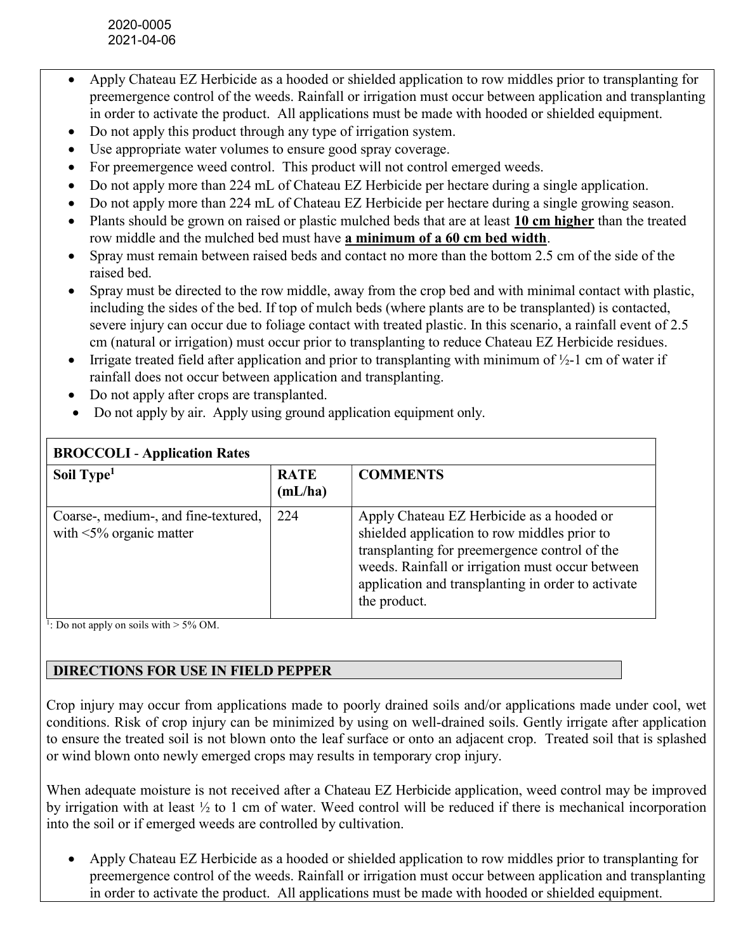- Apply Chateau EZ Herbicide as a hooded or shielded application to row middles prior to transplanting for preemergence control of the weeds. Rainfall or irrigation must occur between application and transplanting in order to activate the product. All applications must be made with hooded or shielded equipment.
- Do not apply this product through any type of irrigation system.
- Use appropriate water volumes to ensure good spray coverage.
- For preemergence weed control. This product will not control emerged weeds.
- Do not apply more than 224 mL of Chateau EZ Herbicide per hectare during a single application.
- Do not apply more than 224 mL of Chateau EZ Herbicide per hectare during a single growing season.
- Plants should be grown on raised or plastic mulched beds that are at least 10 cm higher than the treated row middle and the mulched bed must have a minimum of a 60 cm bed width.
- Spray must remain between raised beds and contact no more than the bottom 2.5 cm of the side of the raised bed.
- Spray must be directed to the row middle, away from the crop bed and with minimal contact with plastic, including the sides of the bed. If top of mulch beds (where plants are to be transplanted) is contacted, severe injury can occur due to foliage contact with treated plastic. In this scenario, a rainfall event of 2.5 cm (natural or irrigation) must occur prior to transplanting to reduce Chateau EZ Herbicide residues.
- Irrigate treated field after application and prior to transplanting with minimum of  $\frac{1}{2}$ -1 cm of water if rainfall does not occur between application and transplanting.
- Do not apply after crops are transplanted.
- Do not apply by air. Apply using ground application equipment only.

| <b>BROCCOLI</b> - Application Rates                                    |                        |                                                                                                                                                                                                                                                                      |
|------------------------------------------------------------------------|------------------------|----------------------------------------------------------------------------------------------------------------------------------------------------------------------------------------------------------------------------------------------------------------------|
| Soil Type <sup>1</sup>                                                 | <b>RATE</b><br>(mL/ha) | <b>COMMENTS</b>                                                                                                                                                                                                                                                      |
| Coarse-, medium-, and fine-textured,<br>with $\leq 5\%$ organic matter | 224                    | Apply Chateau EZ Herbicide as a hooded or<br>shielded application to row middles prior to<br>transplanting for preemergence control of the<br>weeds. Rainfall or irrigation must occur between<br>application and transplanting in order to activate<br>the product. |

# BROCCOLI - Application Rates

<sup>1</sup>: Do not apply on soils with  $> 5\%$  OM.

# DIRECTIONS FOR USE IN FIELD PEPPER

Crop injury may occur from applications made to poorly drained soils and/or applications made under cool, wet conditions. Risk of crop injury can be minimized by using on well-drained soils. Gently irrigate after application to ensure the treated soil is not blown onto the leaf surface or onto an adjacent crop. Treated soil that is splashed or wind blown onto newly emerged crops may results in temporary crop injury.

When adequate moisture is not received after a Chateau EZ Herbicide application, weed control may be improved by irrigation with at least ½ to 1 cm of water. Weed control will be reduced if there is mechanical incorporation into the soil or if emerged weeds are controlled by cultivation.

 Apply Chateau EZ Herbicide as a hooded or shielded application to row middles prior to transplanting for preemergence control of the weeds. Rainfall or irrigation must occur between application and transplanting in order to activate the product. All applications must be made with hooded or shielded equipment.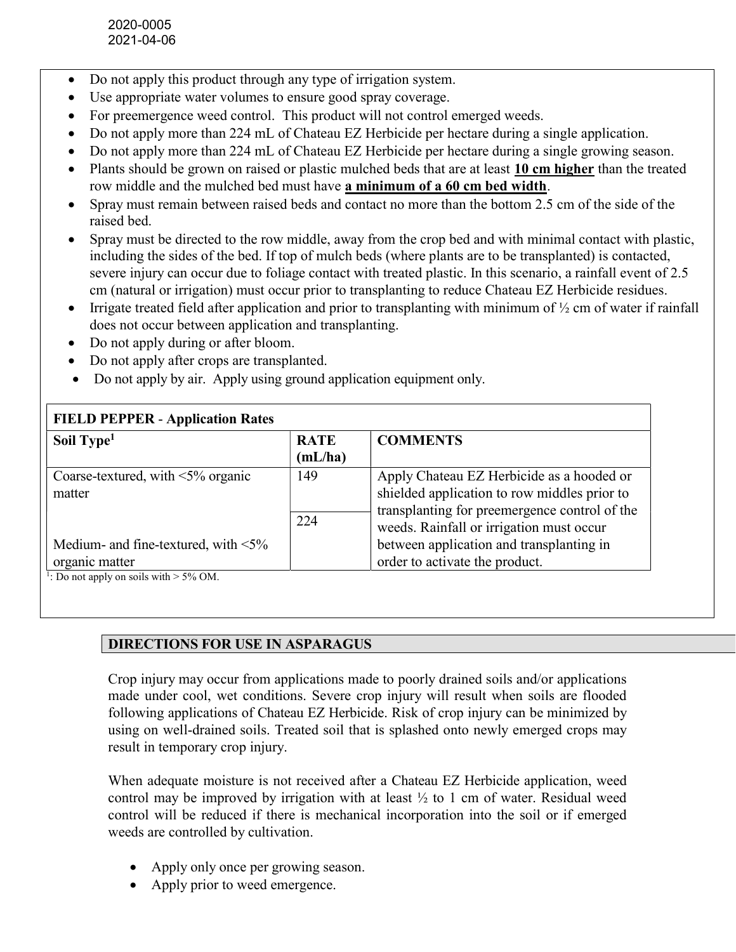- Do not apply this product through any type of irrigation system.
- Use appropriate water volumes to ensure good spray coverage.
- For preemergence weed control. This product will not control emerged weeds.
- Do not apply more than 224 mL of Chateau EZ Herbicide per hectare during a single application.
- Do not apply more than 224 mL of Chateau EZ Herbicide per hectare during a single growing season.
- Plants should be grown on raised or plastic mulched beds that are at least 10 cm higher than the treated row middle and the mulched bed must have a minimum of a 60 cm bed width.
- Spray must remain between raised beds and contact no more than the bottom 2.5 cm of the side of the raised bed.
- Spray must be directed to the row middle, away from the crop bed and with minimal contact with plastic, including the sides of the bed. If top of mulch beds (where plants are to be transplanted) is contacted, severe injury can occur due to foliage contact with treated plastic. In this scenario, a rainfall event of 2.5 cm (natural or irrigation) must occur prior to transplanting to reduce Chateau EZ Herbicide residues.
- Irrigate treated field after application and prior to transplanting with minimum of ½ cm of water if rainfall does not occur between application and transplanting.
- Do not apply during or after bloom.
- Do not apply after crops are transplanted.
- Do not apply by air. Apply using ground application equipment only.

| <b>FIELD PEPPER - Application Rates</b>              |             |                                               |  |
|------------------------------------------------------|-------------|-----------------------------------------------|--|
| Soil Type <sup>1</sup>                               | <b>RATE</b> | <b>COMMENTS</b>                               |  |
|                                                      | (mL/ha)     |                                               |  |
| Coarse-textured, with $\leq 5\%$ organic             | 149         | Apply Chateau EZ Herbicide as a hooded or     |  |
| matter                                               |             | shielded application to row middles prior to  |  |
|                                                      |             | transplanting for preemergence control of the |  |
|                                                      | 224         | weeds. Rainfall or irrigation must occur      |  |
|                                                      |             |                                               |  |
| Medium- and fine-textured, with $\leq 5\%$           |             | between application and transplanting in      |  |
| organic matter                                       |             | order to activate the product.                |  |
| <sup>1</sup> : Do not apply on soils with $>$ 5% OM. |             |                                               |  |

#### DIRECTIONS FOR USE IN ASPARAGUS

Crop injury may occur from applications made to poorly drained soils and/or applications made under cool, wet conditions. Severe crop injury will result when soils are flooded following applications of Chateau EZ Herbicide. Risk of crop injury can be minimized by using on well-drained soils. Treated soil that is splashed onto newly emerged crops may result in temporary crop injury.

When adequate moisture is not received after a Chateau EZ Herbicide application, weed control may be improved by irrigation with at least  $\frac{1}{2}$  to 1 cm of water. Residual weed control will be reduced if there is mechanical incorporation into the soil or if emerged weeds are controlled by cultivation.

- Apply only once per growing season.
- Apply prior to weed emergence.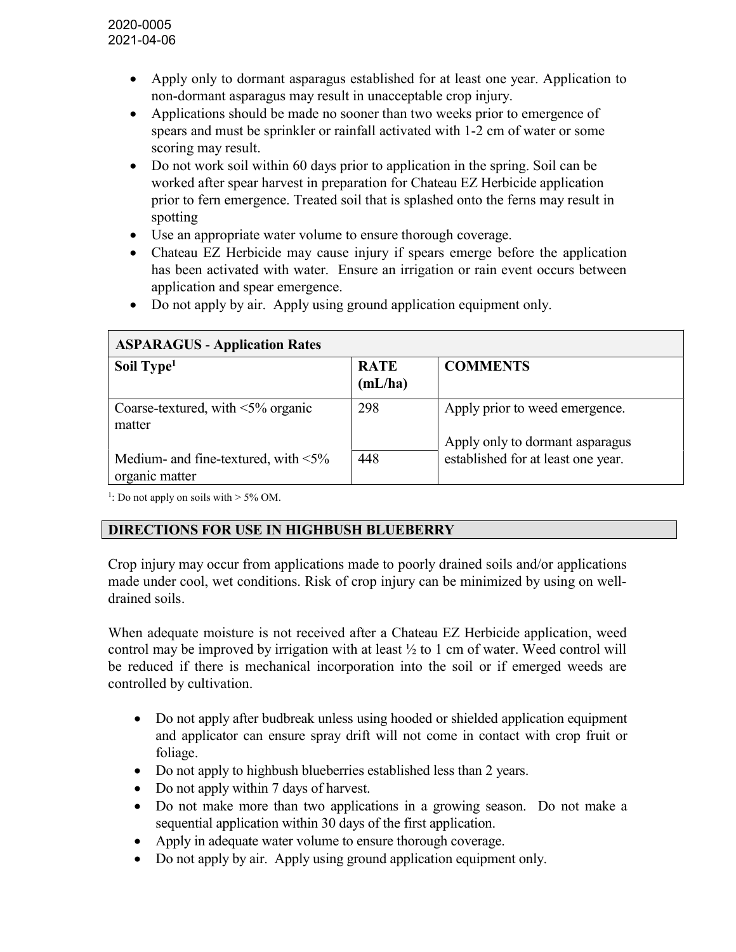- Apply only to dormant asparagus established for at least one year. Application to non-dormant asparagus may result in unacceptable crop injury.
- Applications should be made no sooner than two weeks prior to emergence of spears and must be sprinkler or rainfall activated with 1-2 cm of water or some scoring may result.
- Do not work soil within 60 days prior to application in the spring. Soil can be worked after spear harvest in preparation for Chateau EZ Herbicide application prior to fern emergence. Treated soil that is splashed onto the ferns may result in spotting
- Use an appropriate water volume to ensure thorough coverage.
- Chateau EZ Herbicide may cause injury if spears emerge before the application has been activated with water. Ensure an irrigation or rain event occurs between application and spear emergence.
- Do not apply by air. Apply using ground application equipment only.

| <b>ASPARAGUS - Application Rates</b>                         |                        |                                                                   |  |
|--------------------------------------------------------------|------------------------|-------------------------------------------------------------------|--|
| Soil Type <sup>1</sup>                                       | <b>RATE</b><br>(mL/ha) | <b>COMMENTS</b>                                                   |  |
| Coarse-textured, with $\leq 5\%$ organic<br>matter           | 298                    | Apply prior to weed emergence.<br>Apply only to dormant asparagus |  |
| Medium- and fine-textured, with $\leq 5\%$<br>organic matter | 448                    | established for at least one year.                                |  |

<sup>1</sup>: Do not apply on soils with  $> 5\%$  OM.

# DIRECTIONS FOR USE IN HIGHBUSH BLUEBERRY

Crop injury may occur from applications made to poorly drained soils and/or applications made under cool, wet conditions. Risk of crop injury can be minimized by using on welldrained soils.

When adequate moisture is not received after a Chateau EZ Herbicide application, weed control may be improved by irrigation with at least  $\frac{1}{2}$  to 1 cm of water. Weed control will be reduced if there is mechanical incorporation into the soil or if emerged weeds are controlled by cultivation.

- Do not apply after budbreak unless using hooded or shielded application equipment and applicator can ensure spray drift will not come in contact with crop fruit or foliage.
- Do not apply to highbush blueberries established less than 2 years.
- Do not apply within 7 days of harvest.
- Do not make more than two applications in a growing season. Do not make a sequential application within 30 days of the first application.
- Apply in adequate water volume to ensure thorough coverage.
- Do not apply by air. Apply using ground application equipment only.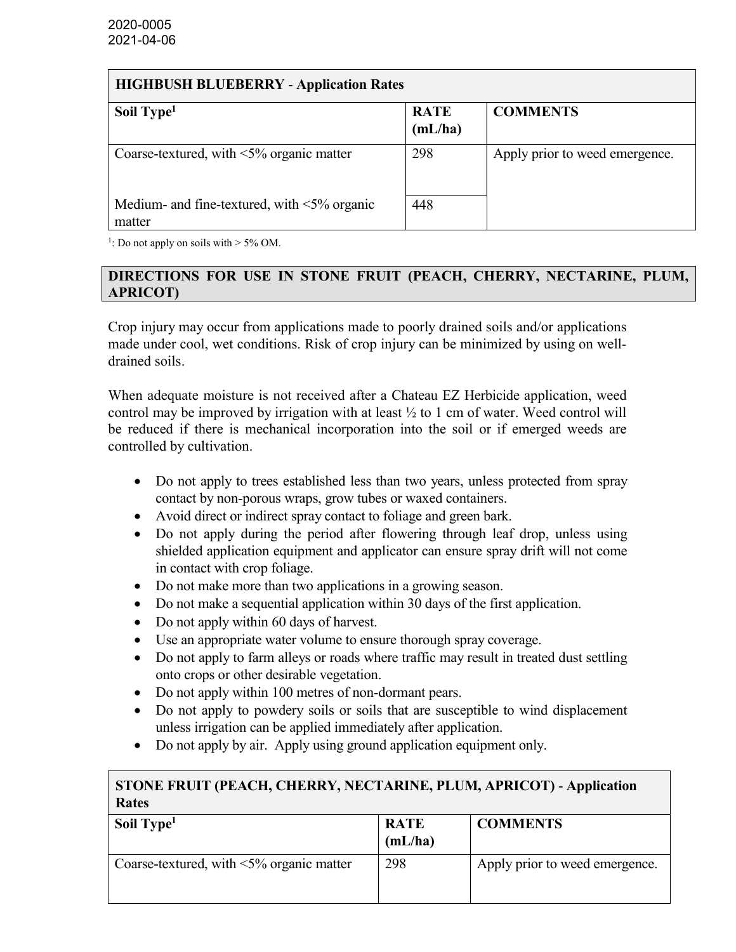#### HIGHBUSH BLUEBERRY - Application Rates

| Soil Type <sup>1</sup>                                       | <b>RATE</b> | <b>COMMENTS</b>                |
|--------------------------------------------------------------|-------------|--------------------------------|
|                                                              | (mL/ha)     |                                |
| Coarse-textured, with $\leq 5\%$ organic matter              | 298         | Apply prior to weed emergence. |
| Medium- and fine-textured, with $\leq 5\%$ organic<br>matter | 448         |                                |

<sup>1</sup>: Do not apply on soils with  $> 5\%$  OM.

### DIRECTIONS FOR USE IN STONE FRUIT (PEACH, CHERRY, NECTARINE, PLUM, APRICOT)

Crop injury may occur from applications made to poorly drained soils and/or applications made under cool, wet conditions. Risk of crop injury can be minimized by using on welldrained soils.

When adequate moisture is not received after a Chateau EZ Herbicide application, weed control may be improved by irrigation with at least  $\frac{1}{2}$  to 1 cm of water. Weed control will be reduced if there is mechanical incorporation into the soil or if emerged weeds are controlled by cultivation.

- Do not apply to trees established less than two years, unless protected from spray contact by non-porous wraps, grow tubes or waxed containers.
- Avoid direct or indirect spray contact to foliage and green bark.
- Do not apply during the period after flowering through leaf drop, unless using shielded application equipment and applicator can ensure spray drift will not come in contact with crop foliage.
- Do not make more than two applications in a growing season.
- Do not make a sequential application within 30 days of the first application.
- Do not apply within 60 days of harvest.
- Use an appropriate water volume to ensure thorough spray coverage.
- Do not apply to farm alleys or roads where traffic may result in treated dust settling onto crops or other desirable vegetation.
- Do not apply within 100 metres of non-dormant pears.
- Do not apply to powdery soils or soils that are susceptible to wind displacement unless irrigation can be applied immediately after application.
- Do not apply by air. Apply using ground application equipment only.

# STONE FRUIT (PEACH, CHERRY, NECTARINE, PLUM, APRICOT) - Application Rates

| Soil Type <sup>1</sup>                          | <b>RATE</b><br>(mL/ha) | <b>COMMENTS</b>                |
|-------------------------------------------------|------------------------|--------------------------------|
| Coarse-textured, with $\leq 5\%$ organic matter | 298                    | Apply prior to weed emergence. |